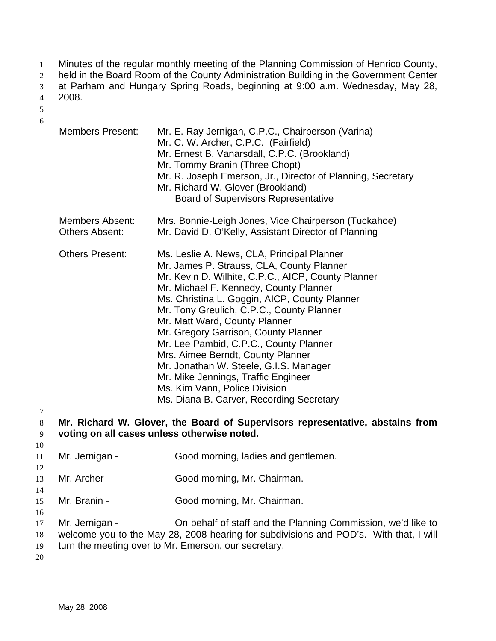Minutes of the regular monthly meeting of the Planning Commission of Henrico County, 1

held in the Board Room of the County Administration Building in the Government Center 2

at Parham and Hungary Spring Roads, beginning at 9:00 a.m. Wednesday, May 28, 2008. 3

4

5 6

|                                                                                                                              | <b>Members Present:</b>                         | Mr. E. Ray Jernigan, C.P.C., Chairperson (Varina)<br>Mr. C. W. Archer, C.P.C. (Fairfield)<br>Mr. Ernest B. Vanarsdall, C.P.C. (Brookland)<br>Mr. Tommy Branin (Three Chopt)<br>Mr. R. Joseph Emerson, Jr., Director of Planning, Secretary<br>Mr. Richard W. Glover (Brookland)<br><b>Board of Supervisors Representative</b>                                                                                                                                                                                                                                                                               |  |
|------------------------------------------------------------------------------------------------------------------------------|-------------------------------------------------|-------------------------------------------------------------------------------------------------------------------------------------------------------------------------------------------------------------------------------------------------------------------------------------------------------------------------------------------------------------------------------------------------------------------------------------------------------------------------------------------------------------------------------------------------------------------------------------------------------------|--|
|                                                                                                                              | <b>Members Absent:</b><br><b>Others Absent:</b> | Mrs. Bonnie-Leigh Jones, Vice Chairperson (Tuckahoe)<br>Mr. David D. O'Kelly, Assistant Director of Planning                                                                                                                                                                                                                                                                                                                                                                                                                                                                                                |  |
|                                                                                                                              | <b>Others Present:</b>                          | Ms. Leslie A. News, CLA, Principal Planner<br>Mr. James P. Strauss, CLA, County Planner<br>Mr. Kevin D. Wilhite, C.P.C., AICP, County Planner<br>Mr. Michael F. Kennedy, County Planner<br>Ms. Christina L. Goggin, AICP, County Planner<br>Mr. Tony Greulich, C.P.C., County Planner<br>Mr. Matt Ward, County Planner<br>Mr. Gregory Garrison, County Planner<br>Mr. Lee Pambid, C.P.C., County Planner<br>Mrs. Aimee Berndt, County Planner<br>Mr. Jonathan W. Steele, G.I.S. Manager<br>Mr. Mike Jennings, Traffic Engineer<br>Ms. Kim Vann, Police Division<br>Ms. Diana B. Carver, Recording Secretary |  |
| Mr. Richard W. Glover, the Board of Supervisors representative, abstains from<br>voting on all cases unless otherwise noted. |                                                 |                                                                                                                                                                                                                                                                                                                                                                                                                                                                                                                                                                                                             |  |
|                                                                                                                              | Mr. Jernigan -                                  | Good morning, ladies and gentlemen.                                                                                                                                                                                                                                                                                                                                                                                                                                                                                                                                                                         |  |
|                                                                                                                              | Mr. Archer -                                    | Good morning, Mr. Chairman.                                                                                                                                                                                                                                                                                                                                                                                                                                                                                                                                                                                 |  |
|                                                                                                                              | Mr. Branin -                                    | Good morning, Mr. Chairman.                                                                                                                                                                                                                                                                                                                                                                                                                                                                                                                                                                                 |  |
|                                                                                                                              | Mr. Jernigan -                                  | On behalf of staff and the Planning Commission, we'd like to<br>welcome you to the May 28, 2008 hearing for subdivisions and POD's. With that, I will<br>turn the meeting over to Mr. Emerson, our secretary.                                                                                                                                                                                                                                                                                                                                                                                               |  |

19 20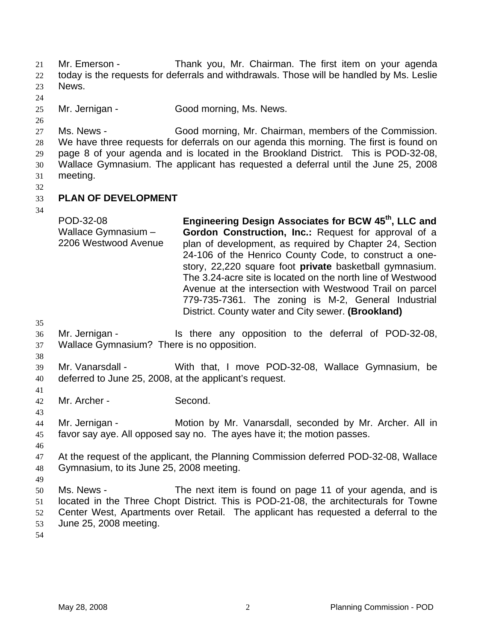Mr. Emerson - Thank you, Mr. Chairman. The first item on your agenda today is the requests for deferrals and withdrawals. Those will be handled by Ms. Leslie News. 21 22 23

24

25 Mr. Jernigan - Good morning, Ms. News.

26

27 28 29 30 Ms. News - Good morning, Mr. Chairman, members of the Commission. We have three requests for deferrals on our agenda this morning. The first is found on page 8 of your agenda and is located in the Brookland District. This is POD-32-08, Wallace Gymnasium. The applicant has requested a deferral until the June 25, 2008

- 31 meeting.
- 32 33

## **PLAN OF DEVELOPMENT**

34

POD-32-08 Wallace Gymnasium – 2206 Westwood Avenue **Engineering Design Associates for BCW 45th, LLC and Gordon Construction, Inc.:** Request for approval of a plan of development, as required by Chapter 24, Section 24-106 of the Henrico County Code, to construct a onestory, 22,220 square foot **private** basketball gymnasium. The 3.24-acre site is located on the north line of Westwood Avenue at the intersection with Westwood Trail on parcel 779-735-7361. The zoning is M-2, General Industrial District. County water and City sewer. **(Brookland)** 

35

38

36 37 Mr. Jernigan - Is there any opposition to the deferral of POD-32-08, Wallace Gymnasium? There is no opposition.

- 39 40 Mr. Vanarsdall - With that, I move POD-32-08, Wallace Gymnasium, be deferred to June 25, 2008, at the applicant's request.
- 41 42

43

Mr. Archer - Second.

44 45 Mr. Jernigan - **Motion by Mr. Vanarsdall, seconded by Mr. Archer. All in** favor say aye. All opposed say no. The ayes have it; the motion passes.

46

49

47 48 At the request of the applicant, the Planning Commission deferred POD-32-08, Wallace Gymnasium, to its June 25, 2008 meeting.

50 51 52 53 Ms. News - The next item is found on page 11 of your agenda, and is located in the Three Chopt District. This is POD-21-08, the architecturals for Towne Center West, Apartments over Retail. The applicant has requested a deferral to the June 25, 2008 meeting.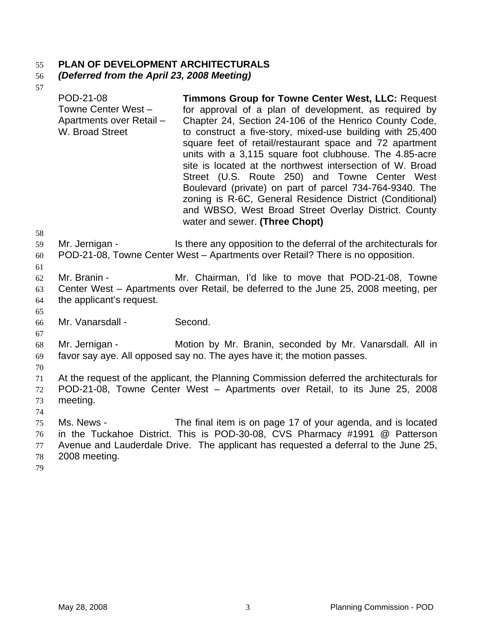## 55 **PLAN OF DEVELOPMENT ARCHITECTURALS**

#### 56 *(Deferred from the April 23, 2008 Meeting)*

57

| 58                         | POD-21-08<br>Towne Center West -<br>Apartments over Retail -<br>W. Broad Street | <b>Timmons Group for Towne Center West, LLC: Request</b><br>for approval of a plan of development, as required by<br>Chapter 24, Section 24-106 of the Henrico County Code,<br>to construct a five-story, mixed-use building with 25,400<br>square feet of retail/restaurant space and 72 apartment<br>units with a 3,115 square foot clubhouse. The 4.85-acre<br>site is located at the northwest intersection of W. Broad<br>Street (U.S. Route 250) and Towne Center West<br>Boulevard (private) on part of parcel 734-764-9340. The<br>zoning is R-6C, General Residence District (Conditional)<br>and WBSO, West Broad Street Overlay District. County<br>water and sewer. (Three Chopt) |
|----------------------------|---------------------------------------------------------------------------------|-----------------------------------------------------------------------------------------------------------------------------------------------------------------------------------------------------------------------------------------------------------------------------------------------------------------------------------------------------------------------------------------------------------------------------------------------------------------------------------------------------------------------------------------------------------------------------------------------------------------------------------------------------------------------------------------------|
| 59<br>60                   | Mr. Jernigan -                                                                  | Is there any opposition to the deferral of the architecturals for<br>POD-21-08, Towne Center West - Apartments over Retail? There is no opposition.                                                                                                                                                                                                                                                                                                                                                                                                                                                                                                                                           |
| 61<br>62<br>63<br>64<br>65 | Mr. Branin -<br>the applicant's request.                                        | Mr. Chairman, I'd like to move that POD-21-08, Towne<br>Center West – Apartments over Retail, be deferred to the June 25, 2008 meeting, per                                                                                                                                                                                                                                                                                                                                                                                                                                                                                                                                                   |
| 66<br>67                   | Mr. Vanarsdall -                                                                | Second.                                                                                                                                                                                                                                                                                                                                                                                                                                                                                                                                                                                                                                                                                       |
| 68<br>69<br>70             | Mr. Jernigan -                                                                  | Motion by Mr. Branin, seconded by Mr. Vanarsdall. All in<br>favor say aye. All opposed say no. The ayes have it; the motion passes.                                                                                                                                                                                                                                                                                                                                                                                                                                                                                                                                                           |
| 71<br>72<br>73<br>74       | meeting.                                                                        | At the request of the applicant, the Planning Commission deferred the architecturals for<br>POD-21-08, Towne Center West - Apartments over Retail, to its June 25, 2008                                                                                                                                                                                                                                                                                                                                                                                                                                                                                                                       |

75 76 77 78 Ms. News - The final item is on page 17 of your agenda, and is located in the Tuckahoe District. This is POD-30-08, CVS Pharmacy #1991 @ Patterson Avenue and Lauderdale Drive. The applicant has requested a deferral to the June 25, 2008 meeting.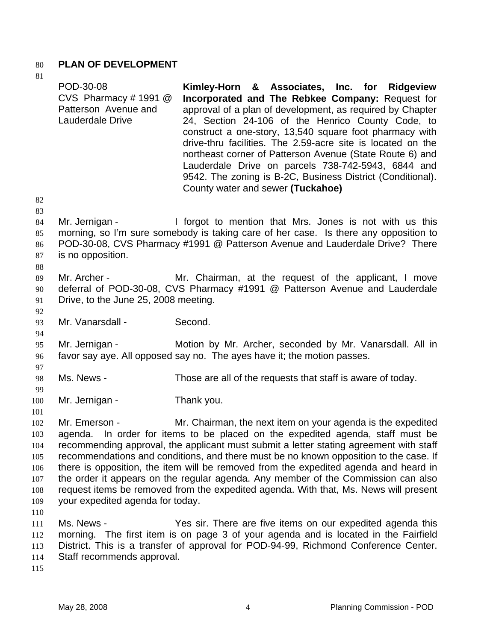## 80 **PLAN OF DEVELOPMENT**

| 81                         |                                                                                 |                                                                                                                                                                                                                                                                                                                                                                                                                                                                                                                                                                   |
|----------------------------|---------------------------------------------------------------------------------|-------------------------------------------------------------------------------------------------------------------------------------------------------------------------------------------------------------------------------------------------------------------------------------------------------------------------------------------------------------------------------------------------------------------------------------------------------------------------------------------------------------------------------------------------------------------|
| 82                         | POD-30-08<br>CVS Pharmacy #1991 $@$<br>Patterson Avenue and<br>Lauderdale Drive | Kimley-Horn & Associates, Inc. for Ridgeview<br>Incorporated and The Rebkee Company: Request for<br>approval of a plan of development, as required by Chapter<br>24, Section 24-106 of the Henrico County Code, to<br>construct a one-story, 13,540 square foot pharmacy with<br>drive-thru facilities. The 2.59-acre site is located on the<br>northeast corner of Patterson Avenue (State Route 6) and<br>Lauderdale Drive on parcels 738-742-5943, 6844 and<br>9542. The zoning is B-2C, Business District (Conditional).<br>County water and sewer (Tuckahoe) |
| 83                         |                                                                                 |                                                                                                                                                                                                                                                                                                                                                                                                                                                                                                                                                                   |
| 84<br>85<br>86<br>87<br>88 | Mr. Jernigan -<br>is no opposition.                                             | I forgot to mention that Mrs. Jones is not with us this<br>morning, so I'm sure somebody is taking care of her case. Is there any opposition to<br>POD-30-08, CVS Pharmacy #1991 @ Patterson Avenue and Lauderdale Drive? There                                                                                                                                                                                                                                                                                                                                   |
|                            |                                                                                 |                                                                                                                                                                                                                                                                                                                                                                                                                                                                                                                                                                   |
| 89                         | Mr. Archer -                                                                    | Mr. Chairman, at the request of the applicant, I move                                                                                                                                                                                                                                                                                                                                                                                                                                                                                                             |
| 90                         | Drive, to the June 25, 2008 meeting.                                            | deferral of POD-30-08, CVS Pharmacy #1991 @ Patterson Avenue and Lauderdale                                                                                                                                                                                                                                                                                                                                                                                                                                                                                       |
| 91                         |                                                                                 |                                                                                                                                                                                                                                                                                                                                                                                                                                                                                                                                                                   |
| 92<br>93                   | Mr. Vanarsdall -                                                                | Second.                                                                                                                                                                                                                                                                                                                                                                                                                                                                                                                                                           |
| 94                         |                                                                                 |                                                                                                                                                                                                                                                                                                                                                                                                                                                                                                                                                                   |
| 95                         | Mr. Jernigan -                                                                  | Motion by Mr. Archer, seconded by Mr. Vanarsdall. All in                                                                                                                                                                                                                                                                                                                                                                                                                                                                                                          |
| 96                         |                                                                                 | favor say aye. All opposed say no. The ayes have it; the motion passes.                                                                                                                                                                                                                                                                                                                                                                                                                                                                                           |
| 97                         |                                                                                 |                                                                                                                                                                                                                                                                                                                                                                                                                                                                                                                                                                   |
| 98                         | Ms. News -                                                                      | Those are all of the requests that staff is aware of today.                                                                                                                                                                                                                                                                                                                                                                                                                                                                                                       |
| 99                         |                                                                                 |                                                                                                                                                                                                                                                                                                                                                                                                                                                                                                                                                                   |
| 100                        | Mr. Jernigan -                                                                  | Thank you.                                                                                                                                                                                                                                                                                                                                                                                                                                                                                                                                                        |
| 101                        |                                                                                 |                                                                                                                                                                                                                                                                                                                                                                                                                                                                                                                                                                   |
| 102                        | Mr. Emerson -                                                                   | Mr. Chairman, the next item on your agenda is the expedited                                                                                                                                                                                                                                                                                                                                                                                                                                                                                                       |
| 103                        |                                                                                 | agenda. In order for items to be placed on the expedited agenda, staff must be                                                                                                                                                                                                                                                                                                                                                                                                                                                                                    |
| 104                        |                                                                                 | recommending approval, the applicant must submit a letter stating agreement with staff                                                                                                                                                                                                                                                                                                                                                                                                                                                                            |
| 105                        |                                                                                 | recommendations and conditions, and there must be no known opposition to the case. If                                                                                                                                                                                                                                                                                                                                                                                                                                                                             |
| 106                        |                                                                                 | there is opposition, the item will be removed from the expedited agenda and heard in                                                                                                                                                                                                                                                                                                                                                                                                                                                                              |
| 107                        |                                                                                 | the order it appears on the regular agenda. Any member of the Commission can also                                                                                                                                                                                                                                                                                                                                                                                                                                                                                 |
| 108                        | your expedited agenda for today.                                                | request items be removed from the expedited agenda. With that, Ms. News will present                                                                                                                                                                                                                                                                                                                                                                                                                                                                              |
| 109                        |                                                                                 |                                                                                                                                                                                                                                                                                                                                                                                                                                                                                                                                                                   |
| 110<br>111                 | Ms. News -                                                                      | Yes sir. There are five items on our expedited agenda this                                                                                                                                                                                                                                                                                                                                                                                                                                                                                                        |
| 112                        |                                                                                 | morning. The first item is on page 3 of your agenda and is located in the Fairfield                                                                                                                                                                                                                                                                                                                                                                                                                                                                               |
| 113                        |                                                                                 | District. This is a transfer of approval for POD-94-99, Richmond Conference Center.                                                                                                                                                                                                                                                                                                                                                                                                                                                                               |
| 114                        | Staff recommends approval.                                                      |                                                                                                                                                                                                                                                                                                                                                                                                                                                                                                                                                                   |
| 115                        |                                                                                 |                                                                                                                                                                                                                                                                                                                                                                                                                                                                                                                                                                   |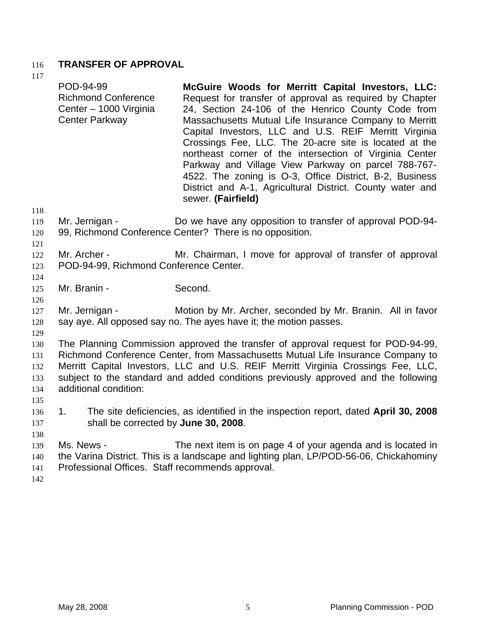# 116 **TRANSFER OF APPROVAL**

117

| 117            |                                                                                            |                                                                                                                                                                                                                                                                                                                                                                                                                                                                                                                                                                                                                 |
|----------------|--------------------------------------------------------------------------------------------|-----------------------------------------------------------------------------------------------------------------------------------------------------------------------------------------------------------------------------------------------------------------------------------------------------------------------------------------------------------------------------------------------------------------------------------------------------------------------------------------------------------------------------------------------------------------------------------------------------------------|
|                | POD-94-99<br><b>Richmond Conference</b><br>Center - 1000 Virginia<br><b>Center Parkway</b> | McGuire Woods for Merritt Capital Investors, LLC:<br>Request for transfer of approval as required by Chapter<br>24, Section 24-106 of the Henrico County Code from<br>Massachusetts Mutual Life Insurance Company to Merritt<br>Capital Investors, LLC and U.S. REIF Merritt Virginia<br>Crossings Fee, LLC. The 20-acre site is located at the<br>northeast corner of the intersection of Virginia Center<br>Parkway and Village View Parkway on parcel 788-767-<br>4522. The zoning is O-3, Office District, B-2, Business<br>District and A-1, Agricultural District. County water and<br>sewer. (Fairfield) |
| 118            |                                                                                            |                                                                                                                                                                                                                                                                                                                                                                                                                                                                                                                                                                                                                 |
| 119            | Mr. Jernigan -                                                                             | Do we have any opposition to transfer of approval POD-94-                                                                                                                                                                                                                                                                                                                                                                                                                                                                                                                                                       |
| 120<br>121     |                                                                                            | 99, Richmond Conference Center? There is no opposition.                                                                                                                                                                                                                                                                                                                                                                                                                                                                                                                                                         |
| 122            | Mr. Archer -                                                                               | Mr. Chairman, I move for approval of transfer of approval                                                                                                                                                                                                                                                                                                                                                                                                                                                                                                                                                       |
| 123            | POD-94-99, Richmond Conference Center.                                                     |                                                                                                                                                                                                                                                                                                                                                                                                                                                                                                                                                                                                                 |
| 124            |                                                                                            |                                                                                                                                                                                                                                                                                                                                                                                                                                                                                                                                                                                                                 |
| 125            | Mr. Branin -                                                                               | Second.                                                                                                                                                                                                                                                                                                                                                                                                                                                                                                                                                                                                         |
| 126            |                                                                                            |                                                                                                                                                                                                                                                                                                                                                                                                                                                                                                                                                                                                                 |
| 127            | Mr. Jernigan -                                                                             | Motion by Mr. Archer, seconded by Mr. Branin. All in favor                                                                                                                                                                                                                                                                                                                                                                                                                                                                                                                                                      |
| 128            |                                                                                            | say aye. All opposed say no. The ayes have it; the motion passes.                                                                                                                                                                                                                                                                                                                                                                                                                                                                                                                                               |
| 129            |                                                                                            |                                                                                                                                                                                                                                                                                                                                                                                                                                                                                                                                                                                                                 |
| 130            |                                                                                            | The Planning Commission approved the transfer of approval request for POD-94-99,                                                                                                                                                                                                                                                                                                                                                                                                                                                                                                                                |
| 131            |                                                                                            | Richmond Conference Center, from Massachusetts Mutual Life Insurance Company to                                                                                                                                                                                                                                                                                                                                                                                                                                                                                                                                 |
| 132            |                                                                                            | Merritt Capital Investors, LLC and U.S. REIF Merritt Virginia Crossings Fee, LLC,                                                                                                                                                                                                                                                                                                                                                                                                                                                                                                                               |
| 133            |                                                                                            | subject to the standard and added conditions previously approved and the following                                                                                                                                                                                                                                                                                                                                                                                                                                                                                                                              |
| 134            | additional condition:                                                                      |                                                                                                                                                                                                                                                                                                                                                                                                                                                                                                                                                                                                                 |
| 135            |                                                                                            |                                                                                                                                                                                                                                                                                                                                                                                                                                                                                                                                                                                                                 |
| 136            | 1.                                                                                         | The site deficiencies, as identified in the inspection report, dated April 30, 2008                                                                                                                                                                                                                                                                                                                                                                                                                                                                                                                             |
| 137            | shall be corrected by June 30, 2008.                                                       |                                                                                                                                                                                                                                                                                                                                                                                                                                                                                                                                                                                                                 |
| 138            |                                                                                            |                                                                                                                                                                                                                                                                                                                                                                                                                                                                                                                                                                                                                 |
| 139            | Ms. News -                                                                                 | The next item is on page 4 of your agenda and is located in                                                                                                                                                                                                                                                                                                                                                                                                                                                                                                                                                     |
| 140            |                                                                                            | the Varina District. This is a landscape and lighting plan, LP/POD-56-06, Chickahominy                                                                                                                                                                                                                                                                                                                                                                                                                                                                                                                          |
| 141            | Professional Offices. Staff recommends approval.                                           |                                                                                                                                                                                                                                                                                                                                                                                                                                                                                                                                                                                                                 |
| $\overline{1}$ |                                                                                            |                                                                                                                                                                                                                                                                                                                                                                                                                                                                                                                                                                                                                 |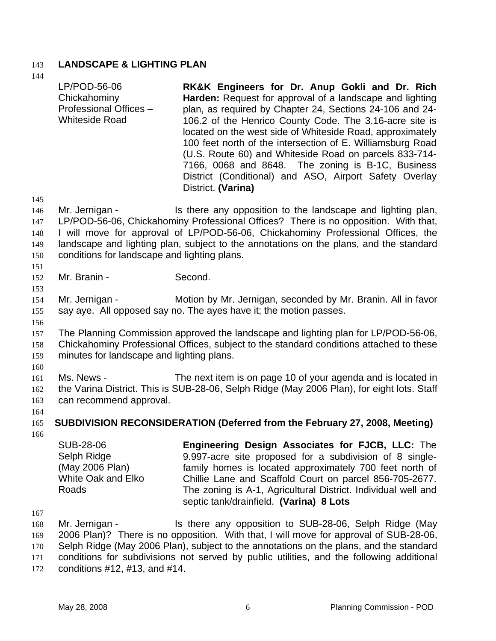# 143 **LANDSCAPE & LIGHTING PLAN**

|                                        | LP/POD-56-06<br>Chickahominy<br>Professional Offices -<br><b>Whiteside Road</b>          | RK&K Engineers for Dr. Anup Gokli and Dr. Rich<br>Harden: Request for approval of a landscape and lighting<br>plan, as required by Chapter 24, Sections 24-106 and 24-<br>106.2 of the Henrico County Code. The 3.16-acre site is<br>located on the west side of Whiteside Road, approximately<br>100 feet north of the intersection of E. Williamsburg Road<br>(U.S. Route 60) and Whiteside Road on parcels 833-714-<br>7166, 0068 and 8648. The zoning is B-1C, Business<br>District (Conditional) and ASO, Airport Safety Overlay<br>District. (Varina) |
|----------------------------------------|------------------------------------------------------------------------------------------|-------------------------------------------------------------------------------------------------------------------------------------------------------------------------------------------------------------------------------------------------------------------------------------------------------------------------------------------------------------------------------------------------------------------------------------------------------------------------------------------------------------------------------------------------------------|
| 145<br>146<br>147<br>148<br>149<br>150 | Mr. Jernigan -<br>conditions for landscape and lighting plans.                           | Is there any opposition to the landscape and lighting plan,<br>LP/POD-56-06, Chickahominy Professional Offices? There is no opposition. With that,<br>I will move for approval of LP/POD-56-06, Chickahominy Professional Offices, the<br>landscape and lighting plan, subject to the annotations on the plans, and the standard                                                                                                                                                                                                                            |
| 151<br>152                             | Mr. Branin -                                                                             | Second.                                                                                                                                                                                                                                                                                                                                                                                                                                                                                                                                                     |
| 153<br>154<br>155<br>156               | Mr. Jernigan -                                                                           | Motion by Mr. Jernigan, seconded by Mr. Branin. All in favor<br>say aye. All opposed say no. The ayes have it; the motion passes.                                                                                                                                                                                                                                                                                                                                                                                                                           |
| 157<br>158<br>159                      | minutes for landscape and lighting plans.                                                | The Planning Commission approved the landscape and lighting plan for LP/POD-56-06,<br>Chickahominy Professional Offices, subject to the standard conditions attached to these                                                                                                                                                                                                                                                                                                                                                                               |
| 160<br>161<br>162<br>163               | Ms. News -<br>can recommend approval.                                                    | The next item is on page 10 of your agenda and is located in<br>the Varina District. This is SUB-28-06, Selph Ridge (May 2006 Plan), for eight lots. Staff                                                                                                                                                                                                                                                                                                                                                                                                  |
| 164<br>165                             |                                                                                          | SUBDIVISION RECONSIDERATION (Deferred from the February 27, 2008, Meeting)                                                                                                                                                                                                                                                                                                                                                                                                                                                                                  |
| 166                                    | <b>SUB-28-06</b><br>Selph Ridge<br>(May 2006 Plan)<br><b>White Oak and Elko</b><br>Roads | Engineering Design Associates for FJCB, LLC: The<br>9.997-acre site proposed for a subdivision of 8 single-<br>family homes is located approximately 700 feet north of<br>Chillie Lane and Scaffold Court on parcel 856-705-2677.<br>The zoning is A-1, Agricultural District. Individual well and<br>septic tank/drainfield. (Varina) 8 Lots                                                                                                                                                                                                               |
| 167<br>168<br>169<br>170<br>171<br>172 | Mr. Jernigan -<br>conditions $#12, #13, and #14.$                                        | Is there any opposition to SUB-28-06, Selph Ridge (May<br>2006 Plan)? There is no opposition. With that, I will move for approval of SUB-28-06,<br>Selph Ridge (May 2006 Plan), subject to the annotations on the plans, and the standard<br>conditions for subdivisions not served by public utilities, and the following additional                                                                                                                                                                                                                       |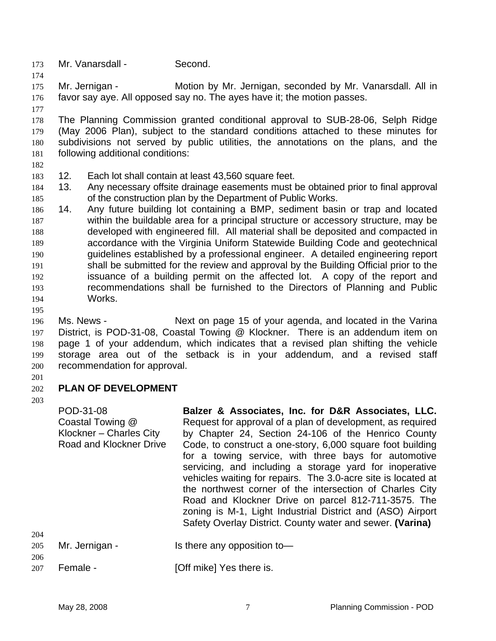- 173 Mr. Vanarsdall Second.
- 175 176 Mr. Jernigan - Motion by Mr. Jernigan, seconded by Mr. Vanarsdall. All in favor say aye. All opposed say no. The ayes have it; the motion passes.
- 177

174

178 179 180 181 The Planning Commission granted conditional approval to SUB-28-06, Selph Ridge (May 2006 Plan), subject to the standard conditions attached to these minutes for subdivisions not served by public utilities, the annotations on the plans, and the following additional conditions:

- 182
- 183 12. Each lot shall contain at least 43,560 square feet.
- 184 185 13. Any necessary offsite drainage easements must be obtained prior to final approval of the construction plan by the Department of Public Works.
- 186 187 188 189 190 191 192 193 194 14. Any future building lot containing a BMP, sediment basin or trap and located within the buildable area for a principal structure or accessory structure, may be developed with engineered fill. All material shall be deposited and compacted in accordance with the Virginia Uniform Statewide Building Code and geotechnical guidelines established by a professional engineer. A detailed engineering report shall be submitted for the review and approval by the Building Official prior to the issuance of a building permit on the affected lot. A copy of the report and recommendations shall be furnished to the Directors of Planning and Public Works.
- 195

196 197 198 199 200 Ms. News - Next on page 15 of your agenda, and located in the Varina District, is POD-31-08, Coastal Towing @ Klockner. There is an addendum item on page 1 of your addendum, which indicates that a revised plan shifting the vehicle storage area out of the setback is in your addendum, and a revised staff recommendation for approval.

201

#### 202 **PLAN OF DEVELOPMENT**

203

204

POD-31-08 Coastal Towing @ Klockner – Charles City Road and Klockner Drive **Balzer & Associates, Inc. for D&R Associates, LLC.**  Request for approval of a plan of development, as required by Chapter 24, Section 24-106 of the Henrico County Code, to construct a one-story, 6,000 square foot building for a towing service, with three bays for automotive servicing, and including a storage yard for inoperative vehicles waiting for repairs. The 3.0-acre site is located at the northwest corner of the intersection of Charles City Road and Klockner Drive on parcel 812-711-3575. The zoning is M-1, Light Industrial District and (ASO) Airport Safety Overlay District. County water and sewer. **(Varina)** 

| 205 | Mr. Jernigan - | Is there any opposition to- |
|-----|----------------|-----------------------------|
| 206 |                |                             |

207 Female - [Off mike] Yes there is.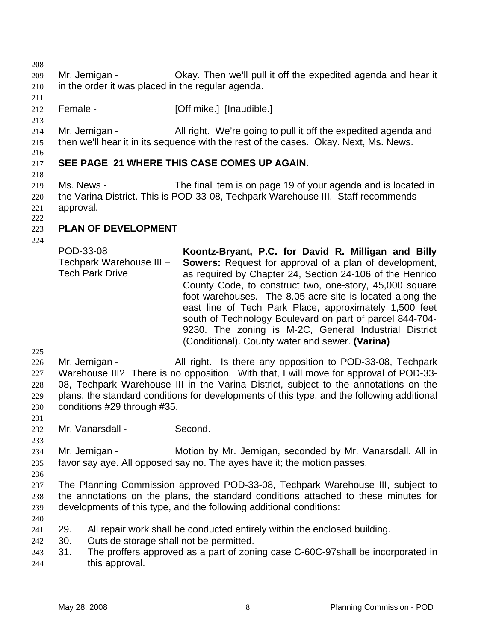208

- 209 210 Mr. Jernigan - Ckay. Then we'll pull it off the expedited agenda and hear it in the order it was placed in the regular agenda.
- 211 212 Female - [Off mike.] [Inaudible.]
- 213

214 215 Mr. Jernigan - All right. We're going to pull it off the expedited agenda and then we'll hear it in its sequence with the rest of the cases. Okay. Next, Ms. News.

### 217 **SEE PAGE 21 WHERE THIS CASE COMES UP AGAIN.**

218

216

219 220 221 Ms. News - The final item is on page 19 of your agenda and is located in the Varina District. This is POD-33-08, Techpark Warehouse III. Staff recommends approval.

222

### 223 **PLAN OF DEVELOPMENT**

224

POD-33-08 Techpark Warehouse III – Tech Park Drive **Koontz-Bryant, P.C. for David R. Milligan and Billy Sowers:** Request for approval of a plan of development, as required by Chapter 24, Section 24-106 of the Henrico County Code, to construct two, one-story, 45,000 square foot warehouses. The 8.05-acre site is located along the east line of Tech Park Place, approximately 1,500 feet south of Technology Boulevard on part of parcel 844-704- 9230. The zoning is M-2C, General Industrial District (Conditional). County water and sewer. **(Varina)** 

225

226 227 228 229 230 Mr. Jernigan - All right. Is there any opposition to POD-33-08, Techpark Warehouse III? There is no opposition. With that, I will move for approval of POD-33- 08, Techpark Warehouse III in the Varina District, subject to the annotations on the plans, the standard conditions for developments of this type, and the following additional conditions #29 through #35.

231

232 Mr. Vanarsdall - Second.

233

234 235 Mr. Jernigan - Motion by Mr. Jernigan, seconded by Mr. Vanarsdall. All in favor say aye. All opposed say no. The ayes have it; the motion passes.

236

237 238 239 The Planning Commission approved POD-33-08, Techpark Warehouse III, subject to the annotations on the plans, the standard conditions attached to these minutes for developments of this type, and the following additional conditions:

240

241 29. All repair work shall be conducted entirely within the enclosed building.

- 242 30. Outside storage shall not be permitted.
- 243 244 31. The proffers approved as a part of zoning case C-60C-97shall be incorporated in this approval.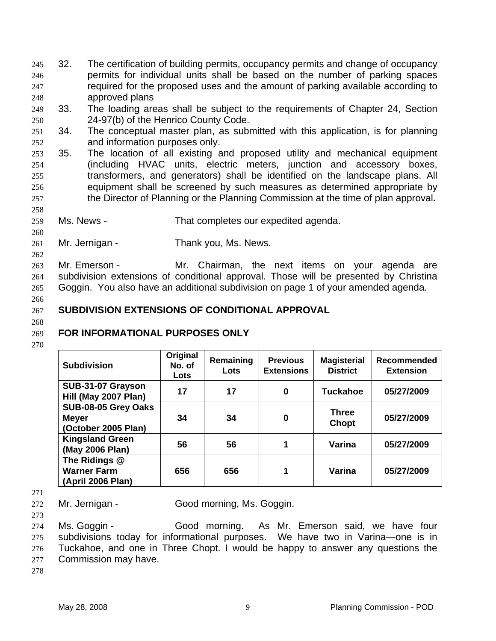- 32. The certification of building permits, occupancy permits and change of occupancy permits for individual units shall be based on the number of parking spaces required for the proposed uses and the amount of parking available according to approved plans 245 246 247 248
- 249 250 33. The loading areas shall be subject to the requirements of Chapter 24, Section 24-97(b) of the Henrico County Code.
- 251 252 34. The conceptual master plan, as submitted with this application, is for planning and information purposes only.
- 253 254 255 256 257 35. The location of all existing and proposed utility and mechanical equipment (including HVAC units, electric meters, junction and accessory boxes, transformers, and generators) shall be identified on the landscape plans. All equipment shall be screened by such measures as determined appropriate by the Director of Planning or the Planning Commission at the time of plan approval**.**
- 259 Ms. News - That completes our expedited agenda.
- 261 Mr. Jernigan - Thank you, Ms. News.

263 264 265 Mr. Emerson - Mr. Chairman, the next items on your agenda are subdivision extensions of conditional approval. Those will be presented by Christina Goggin. You also have an additional subdivision on page 1 of your amended agenda.

266

258

260

262

#### 267 **SUBDIVISION EXTENSIONS OF CONDITIONAL APPROVAL**

268

### 269 **FOR INFORMATIONAL PURPOSES ONLY**

270

| <b>Subdivision</b>                                         | Original<br>No. of<br>Lots | Remaining<br><b>Lots</b> | <b>Previous</b><br><b>Extensions</b> | <b>Magisterial</b><br><b>District</b> | <b>Recommended</b><br><b>Extension</b> |
|------------------------------------------------------------|----------------------------|--------------------------|--------------------------------------|---------------------------------------|----------------------------------------|
| SUB-31-07 Grayson<br>Hill (May 2007 Plan)                  | 17                         | 17                       | 0                                    | <b>Tuckahoe</b>                       | 05/27/2009                             |
| SUB-08-05 Grey Oaks<br><b>Meyer</b><br>(October 2005 Plan) | 34                         | 34                       | 0                                    | <b>Three</b><br>Chopt                 | 05/27/2009                             |
| <b>Kingsland Green</b><br>(May 2006 Plan)                  | 56                         | 56                       | 1                                    | Varina                                | 05/27/2009                             |
| The Ridings @<br><b>Warner Farm</b><br>(April 2006 Plan)   | 656                        | 656                      | 1                                    | Varina                                | 05/27/2009                             |

271

272 Mr. Jernigan - Good morning, Ms. Goggin.

273

274 275 276 277 Ms. Goggin - Good morning. As Mr. Emerson said, we have four subdivisions today for informational purposes. We have two in Varina—one is in Tuckahoe, and one in Three Chopt. I would be happy to answer any questions the Commission may have.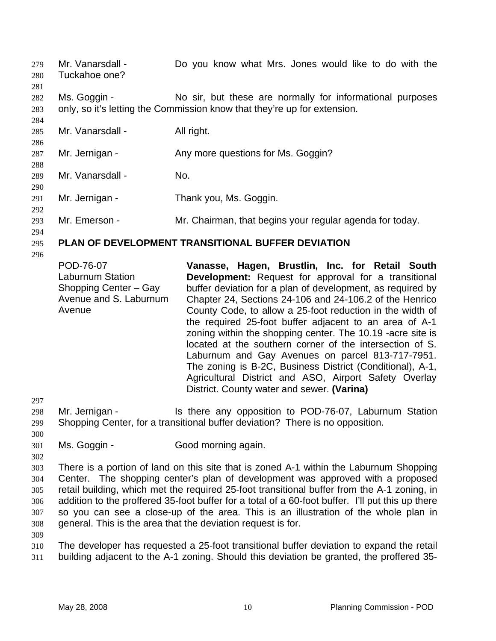Mr. Vanarsdall - Do you know what Mrs. Jones would like to do with the Tuckahoe one? 279 280 281 282 283 284 285 286 287 288 289 290 291 292 293 294 295 296 297 298 299 300 301 302 303 304 305 306 307 308 309 310 311 Ms. Goggin - No sir, but these are normally for informational purposes only, so it's letting the Commission know that they're up for extension. Mr. Vanarsdall - All right. Mr. Jernigan - Any more questions for Ms. Goggin? Mr. Vanarsdall - No. Mr. Jernigan - Thank you, Ms. Goggin. Mr. Emerson - The Mr. Chairman, that begins your regular agenda for today. **PLAN OF DEVELOPMENT TRANSITIONAL BUFFER DEVIATION**  POD-76-07 Laburnum Station Shopping Center – Gay Avenue and S. Laburnum Avenue **Vanasse, Hagen, Brustlin, Inc. for Retail South Development:** Request for approval for a transitional buffer deviation for a plan of development, as required by Chapter 24, Sections 24-106 and 24-106.2 of the Henrico County Code, to allow a 25-foot reduction in the width of the required 25-foot buffer adjacent to an area of A-1 zoning within the shopping center. The 10.19 -acre site is located at the southern corner of the intersection of S. Laburnum and Gay Avenues on parcel 813-717-7951. The zoning is B-2C, Business District (Conditional), A-1, Agricultural District and ASO, Airport Safety Overlay District. County water and sewer. **(Varina)**  Mr. Jernigan - Is there any opposition to POD-76-07, Laburnum Station Shopping Center, for a transitional buffer deviation? There is no opposition. Ms. Goggin - Good morning again. There is a portion of land on this site that is zoned A-1 within the Laburnum Shopping Center. The shopping center's plan of development was approved with a proposed retail building, which met the required 25-foot transitional buffer from the A-1 zoning, in addition to the proffered 35-foot buffer for a total of a 60-foot buffer. I'll put this up there so you can see a close-up of the area. This is an illustration of the whole plan in general. This is the area that the deviation request is for. The developer has requested a 25-foot transitional buffer deviation to expand the retail building adjacent to the A-1 zoning. Should this deviation be granted, the proffered 35-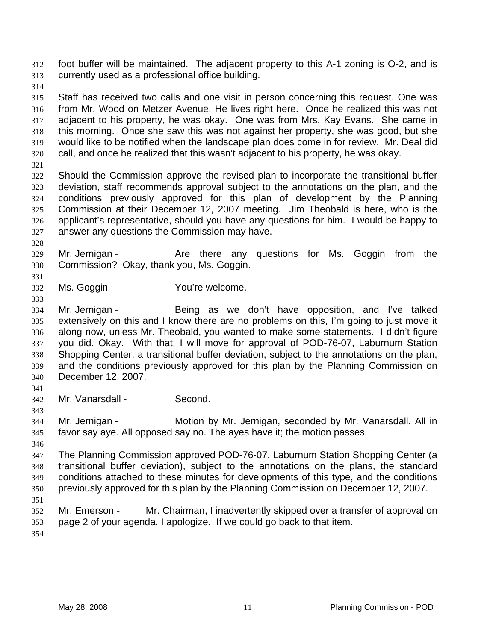foot buffer will be maintained. The adjacent property to this A-1 zoning is O-2, and is currently used as a professional office building. 312 313

314

315 316 317 318 319 320 Staff has received two calls and one visit in person concerning this request. One was from Mr. Wood on Metzer Avenue. He lives right here. Once he realized this was not adjacent to his property, he was okay. One was from Mrs. Kay Evans. She came in this morning. Once she saw this was not against her property, she was good, but she would like to be notified when the landscape plan does come in for review. Mr. Deal did call, and once he realized that this wasn't adjacent to his property, he was okay.

321

322 323 324 325 326 327 Should the Commission approve the revised plan to incorporate the transitional buffer deviation, staff recommends approval subject to the annotations on the plan, and the conditions previously approved for this plan of development by the Planning Commission at their December 12, 2007 meeting. Jim Theobald is here, who is the applicant's representative, should you have any questions for him. I would be happy to answer any questions the Commission may have.

328

329 330 Mr. Jernigan - The Are there any questions for Ms. Goggin from the Commission? Okay, thank you, Ms. Goggin.

- 332 Ms. Goggin - You're welcome.
- 333 334

335 336

331

Mr. Jernigan - Being as we don't have opposition, and I've talked extensively on this and I know there are no problems on this, I'm going to just move it along now, unless Mr. Theobald, you wanted to make some statements. I didn't figure

337 338 339 340 you did. Okay. With that, I will move for approval of POD-76-07, Laburnum Station Shopping Center, a transitional buffer deviation, subject to the annotations on the plan, and the conditions previously approved for this plan by the Planning Commission on December 12, 2007.

341

343

342 Mr. Vanarsdall - Second.

344 345 Mr. Jernigan - **Motion by Mr. Jernigan, seconded by Mr. Vanarsdall. All in** favor say aye. All opposed say no. The ayes have it; the motion passes.

346

347 348 349 350 The Planning Commission approved POD-76-07, Laburnum Station Shopping Center (a transitional buffer deviation), subject to the annotations on the plans, the standard conditions attached to these minutes for developments of this type, and the conditions previously approved for this plan by the Planning Commission on December 12, 2007.

351

352 353 Mr. Emerson - Mr. Chairman, I inadvertently skipped over a transfer of approval on page 2 of your agenda. I apologize. If we could go back to that item.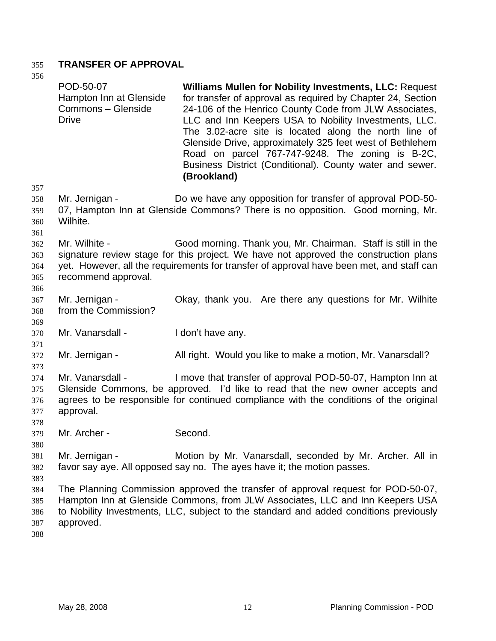# 355 **TRANSFER OF APPROVAL**

| 356                             |                                                                            |                                                                                                                                                                                                                                                                                                                                                                                                                                                                                                     |
|---------------------------------|----------------------------------------------------------------------------|-----------------------------------------------------------------------------------------------------------------------------------------------------------------------------------------------------------------------------------------------------------------------------------------------------------------------------------------------------------------------------------------------------------------------------------------------------------------------------------------------------|
|                                 | POD-50-07<br>Hampton Inn at Glenside<br>Commons - Glenside<br><b>Drive</b> | <b>Williams Mullen for Nobility Investments, LLC: Request</b><br>for transfer of approval as required by Chapter 24, Section<br>24-106 of the Henrico County Code from JLW Associates,<br>LLC and Inn Keepers USA to Nobility Investments, LLC.<br>The 3.02-acre site is located along the north line of<br>Glenside Drive, approximately 325 feet west of Bethlehem<br>Road on parcel 767-747-9248. The zoning is B-2C,<br>Business District (Conditional). County water and sewer.<br>(Brookland) |
| 357                             |                                                                            |                                                                                                                                                                                                                                                                                                                                                                                                                                                                                                     |
| 358<br>359<br>360<br>361        | Mr. Jernigan -<br>Wilhite.                                                 | Do we have any opposition for transfer of approval POD-50-<br>07, Hampton Inn at Glenside Commons? There is no opposition. Good morning, Mr.                                                                                                                                                                                                                                                                                                                                                        |
| 362<br>363<br>364<br>365<br>366 | Mr. Wilhite -<br>recommend approval.                                       | Good morning. Thank you, Mr. Chairman. Staff is still in the<br>signature review stage for this project. We have not approved the construction plans<br>yet. However, all the requirements for transfer of approval have been met, and staff can                                                                                                                                                                                                                                                    |
| 367<br>368<br>369               | Mr. Jernigan -<br>from the Commission?                                     | Okay, thank you. Are there any questions for Mr. Wilhite                                                                                                                                                                                                                                                                                                                                                                                                                                            |
| 370<br>371                      | Mr. Vanarsdall -                                                           | I don't have any.                                                                                                                                                                                                                                                                                                                                                                                                                                                                                   |
| 372<br>373                      | Mr. Jernigan -                                                             | All right. Would you like to make a motion, Mr. Vanarsdall?                                                                                                                                                                                                                                                                                                                                                                                                                                         |
| 374<br>375<br>376<br>377<br>378 | Mr. Vanarsdall -<br>approval.                                              | I move that transfer of approval POD-50-07, Hampton Inn at<br>Glenside Commons, be approved. I'd like to read that the new owner accepts and<br>agrees to be responsible for continued compliance with the conditions of the original                                                                                                                                                                                                                                                               |
| 379<br>380                      | Mr. Archer -                                                               | Second.                                                                                                                                                                                                                                                                                                                                                                                                                                                                                             |
| 381<br>382<br>383               | Mr. Jernigan -                                                             | Motion by Mr. Vanarsdall, seconded by Mr. Archer. All in<br>favor say aye. All opposed say no. The ayes have it; the motion passes.                                                                                                                                                                                                                                                                                                                                                                 |
| 384<br>385<br>386<br>387<br>388 | approved.                                                                  | The Planning Commission approved the transfer of approval request for POD-50-07,<br>Hampton Inn at Glenside Commons, from JLW Associates, LLC and Inn Keepers USA<br>to Nobility Investments, LLC, subject to the standard and added conditions previously                                                                                                                                                                                                                                          |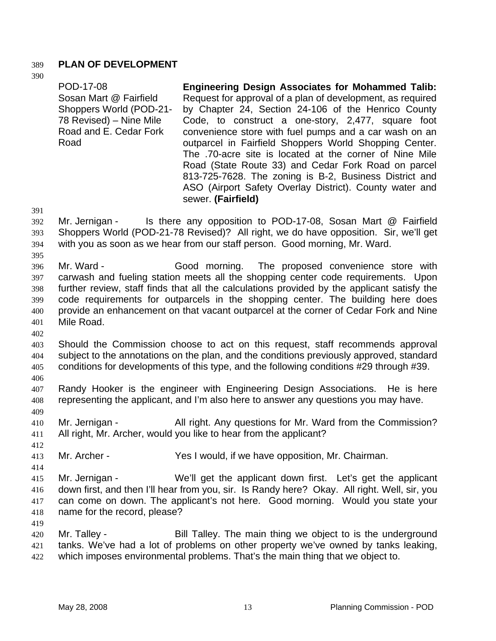## 389 **PLAN OF DEVELOPMENT**

390

| POD-17-08               | <b>Engineering Design Associates for Mohammed Talib:</b>                                                                                                                                                                            |
|-------------------------|-------------------------------------------------------------------------------------------------------------------------------------------------------------------------------------------------------------------------------------|
| Sosan Mart @ Fairfield  | Request for approval of a plan of development, as required                                                                                                                                                                          |
| Shoppers World (POD-21- | by Chapter 24, Section 24-106 of the Henrico County                                                                                                                                                                                 |
| 78 Revised) – Nine Mile | Code, to construct a one-story, 2,477, square foot                                                                                                                                                                                  |
| Road and E. Cedar Fork  | convenience store with fuel pumps and a car wash on an                                                                                                                                                                              |
| Road                    | outparcel in Fairfield Shoppers World Shopping Center.                                                                                                                                                                              |
|                         | The .70-acre site is located at the corner of Nine Mile<br>Road (State Route 33) and Cedar Fork Road on parcel<br>813-725-7628. The zoning is B-2, Business District and<br>ASO (Airport Safety Overlay District). County water and |
|                         | sewer. (Fairfield)                                                                                                                                                                                                                  |

391

395

- 392 393 394 Mr. Jernigan - Is there any opposition to POD-17-08, Sosan Mart @ Fairfield Shoppers World (POD-21-78 Revised)? All right, we do have opposition. Sir, we'll get with you as soon as we hear from our staff person. Good morning, Mr. Ward.
- 396 397 398 399 400 401 Mr. Ward - Good morning. The proposed convenience store with carwash and fueling station meets all the shopping center code requirements. Upon further review, staff finds that all the calculations provided by the applicant satisfy the code requirements for outparcels in the shopping center. The building here does provide an enhancement on that vacant outparcel at the corner of Cedar Fork and Nine Mile Road.
- 402

403 404 405 Should the Commission choose to act on this request, staff recommends approval subject to the annotations on the plan, and the conditions previously approved, standard conditions for developments of this type, and the following conditions #29 through #39.

406

409

412

419

407 408 Randy Hooker is the engineer with Engineering Design Associations. He is here representing the applicant, and I'm also here to answer any questions you may have.

410 411 Mr. Jernigan - All right. Any questions for Mr. Ward from the Commission? All right, Mr. Archer, would you like to hear from the applicant?

413 Mr. Archer - Yes I would, if we have opposition, Mr. Chairman.

414 415 416 417 418 Mr. Jernigan - We'll get the applicant down first. Let's get the applicant down first, and then I'll hear from you, sir. Is Randy here? Okay. All right. Well, sir, you can come on down. The applicant's not here. Good morning. Would you state your name for the record, please?

420 421 422 Mr. Talley - Bill Talley. The main thing we object to is the underground tanks. We've had a lot of problems on other property we've owned by tanks leaking, which imposes environmental problems. That's the main thing that we object to.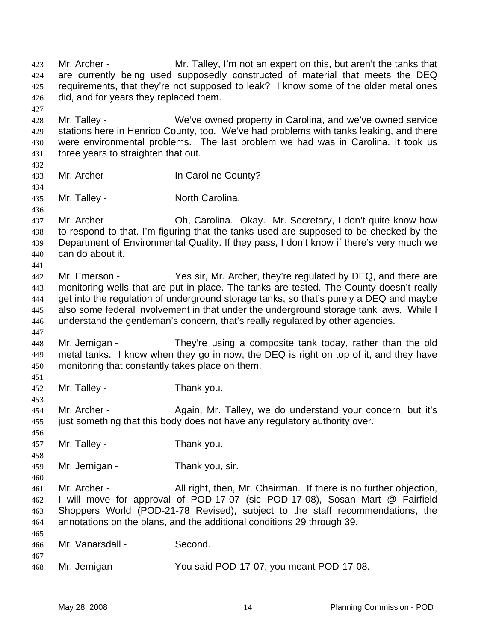Mr. Archer - Mr. Talley, I'm not an expert on this, but aren't the tanks that are currently being used supposedly constructed of material that meets the DEQ requirements, that they're not supposed to leak? I know some of the older metal ones did, and for years they replaced them. 423 424 425 426 427 428 429 430 431 432 433 434 435 436 437 438 439 440 441 442 443 444 445 446 447 448 449 450 451 452 453 454 455 456 457 458 459 460 461 462 463 464 465 466 467 468 Mr. Talley - We've owned property in Carolina, and we've owned service stations here in Henrico County, too. We've had problems with tanks leaking, and there were environmental problems. The last problem we had was in Carolina. It took us three years to straighten that out. Mr. Archer - In Caroline County? Mr. Talley - North Carolina. Mr. Archer - **Oh, Carolina. Okay. Mr. Secretary, I don't quite know how** to respond to that. I'm figuring that the tanks used are supposed to be checked by the Department of Environmental Quality. If they pass, I don't know if there's very much we can do about it. Mr. Emerson - Yes sir, Mr. Archer, they're regulated by DEQ, and there are monitoring wells that are put in place. The tanks are tested. The County doesn't really get into the regulation of underground storage tanks, so that's purely a DEQ and maybe also some federal involvement in that under the underground storage tank laws. While I understand the gentleman's concern, that's really regulated by other agencies. Mr. Jernigan - They're using a composite tank today, rather than the old metal tanks. I know when they go in now, the DEQ is right on top of it, and they have monitoring that constantly takes place on them. Mr. Talley - Thank you. Mr. Archer - Again, Mr. Talley, we do understand your concern, but it's just something that this body does not have any regulatory authority over. Mr. Talley - Thank you. Mr. Jernigan - Thank you, sir. Mr. Archer - All right, then, Mr. Chairman. If there is no further objection, I will move for approval of POD-17-07 (sic POD-17-08), Sosan Mart @ Fairfield Shoppers World (POD-21-78 Revised), subject to the staff recommendations, the annotations on the plans, and the additional conditions 29 through 39. Mr. Vanarsdall - Second. Mr. Jernigan - You said POD-17-07; you meant POD-17-08.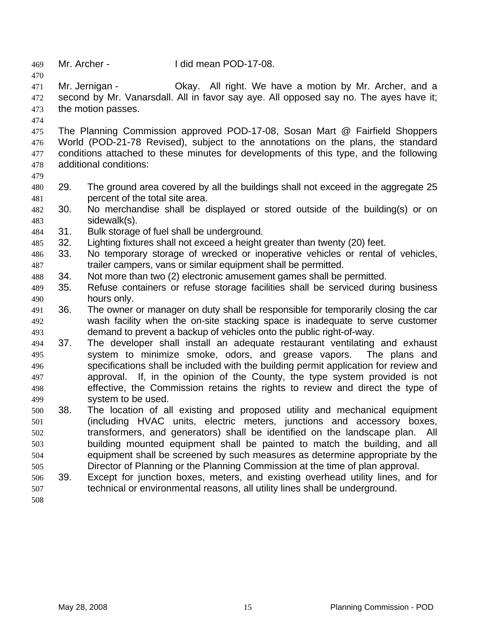| 469                             |     | Mr. Archer -                                                                                                                                                                                                                                                                       | I did mean POD-17-08. |  |  |                                                        |
|---------------------------------|-----|------------------------------------------------------------------------------------------------------------------------------------------------------------------------------------------------------------------------------------------------------------------------------------|-----------------------|--|--|--------------------------------------------------------|
| 470<br>471<br>472<br>473<br>474 |     | Mr. Jernigan -<br>second by Mr. Vanarsdall. All in favor say aye. All opposed say no. The ayes have it;<br>the motion passes.                                                                                                                                                      |                       |  |  | Okay. All right. We have a motion by Mr. Archer, and a |
| 475<br>476<br>477<br>478<br>479 |     | The Planning Commission approved POD-17-08, Sosan Mart @ Fairfield Shoppers<br>World (POD-21-78 Revised), subject to the annotations on the plans, the standard<br>conditions attached to these minutes for developments of this type, and the following<br>additional conditions: |                       |  |  |                                                        |
| 480                             | 29. | The ground area covered by all the buildings shall not exceed in the aggregate 25                                                                                                                                                                                                  |                       |  |  |                                                        |
| 481                             |     | percent of the total site area.                                                                                                                                                                                                                                                    |                       |  |  |                                                        |
| 482<br>483                      | 30. | No merchandise shall be displayed or stored outside of the building(s) or on<br>sidewalk(s).                                                                                                                                                                                       |                       |  |  |                                                        |
| 484                             | 31. | Bulk storage of fuel shall be underground.                                                                                                                                                                                                                                         |                       |  |  |                                                        |
| 485                             | 32. | Lighting fixtures shall not exceed a height greater than twenty (20) feet.                                                                                                                                                                                                         |                       |  |  |                                                        |
| 486                             | 33. | No temporary storage of wrecked or inoperative vehicles or rental of vehicles,                                                                                                                                                                                                     |                       |  |  |                                                        |
| 487                             |     | trailer campers, vans or similar equipment shall be permitted.                                                                                                                                                                                                                     |                       |  |  |                                                        |
| 488                             | 34. | Not more than two (2) electronic amusement games shall be permitted.                                                                                                                                                                                                               |                       |  |  |                                                        |
| 489                             | 35. | Refuse containers or refuse storage facilities shall be serviced during business                                                                                                                                                                                                   |                       |  |  |                                                        |
| 490                             |     | hours only.                                                                                                                                                                                                                                                                        |                       |  |  |                                                        |
| 491                             | 36. | The owner or manager on duty shall be responsible for temporarily closing the car                                                                                                                                                                                                  |                       |  |  |                                                        |
| 492                             |     | wash facility when the on-site stacking space is inadequate to serve customer                                                                                                                                                                                                      |                       |  |  |                                                        |
| 493                             |     | demand to prevent a backup of vehicles onto the public right-of-way.                                                                                                                                                                                                               |                       |  |  |                                                        |
| 494                             | 37. | The developer shall install an adequate restaurant ventilating and exhaust                                                                                                                                                                                                         |                       |  |  |                                                        |
| 495                             |     | system to minimize smoke, odors, and grease vapors.                                                                                                                                                                                                                                |                       |  |  | The plans and                                          |
| 496                             |     | specifications shall be included with the building permit application for review and                                                                                                                                                                                               |                       |  |  |                                                        |
| 497                             |     | approval. If, in the opinion of the County, the type system provided is not                                                                                                                                                                                                        |                       |  |  |                                                        |
| 498                             |     | effective, the Commission retains the rights to review and direct the type of                                                                                                                                                                                                      |                       |  |  |                                                        |
| 499                             |     | system to be used.                                                                                                                                                                                                                                                                 |                       |  |  |                                                        |
| 500                             | 38. | The location of all existing and proposed utility and mechanical equipment                                                                                                                                                                                                         |                       |  |  |                                                        |
| 501                             |     | (including HVAC units, electric meters, junctions and accessory boxes,                                                                                                                                                                                                             |                       |  |  |                                                        |
| 502                             |     | transformers, and generators) shall be identified on the landscape plan.                                                                                                                                                                                                           |                       |  |  | All                                                    |
| 503                             |     | building mounted equipment shall be painted to match the building, and all                                                                                                                                                                                                         |                       |  |  |                                                        |
| 504                             |     | equipment shall be screened by such measures as determine appropriate by the                                                                                                                                                                                                       |                       |  |  |                                                        |
| 505                             |     | Director of Planning or the Planning Commission at the time of plan approval.                                                                                                                                                                                                      |                       |  |  |                                                        |
| 506                             | 39. | Except for junction boxes, meters, and existing overhead utility lines, and for                                                                                                                                                                                                    |                       |  |  |                                                        |
| 507                             |     | technical or environmental reasons, all utility lines shall be underground.                                                                                                                                                                                                        |                       |  |  |                                                        |
| 508                             |     |                                                                                                                                                                                                                                                                                    |                       |  |  |                                                        |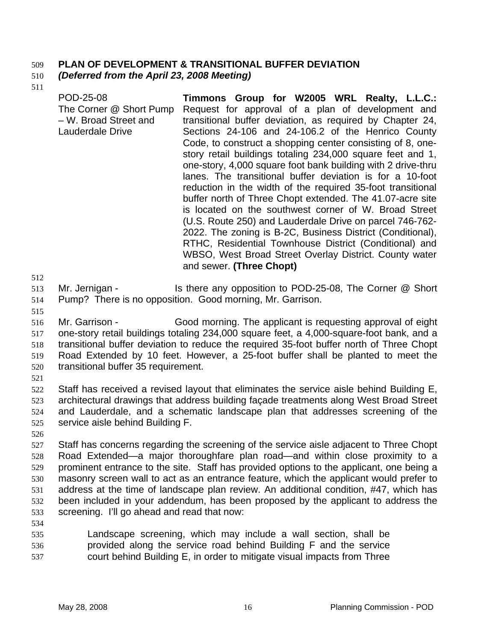## 509 **PLAN OF DEVELOPMENT & TRANSITIONAL BUFFER DEVIATION**

#### 510 *(Deferred from the April 23, 2008 Meeting)*

511

POD-25-08 The Corner @ Short Pump – W. Broad Street and Lauderdale Drive **Timmons Group for W2005 WRL Realty, L.L.C.:**  Request for approval of a plan of development and transitional buffer deviation, as required by Chapter 24, Sections 24-106 and 24-106.2 of the Henrico County Code, to construct a shopping center consisting of 8, onestory retail buildings totaling 234,000 square feet and 1, one-story, 4,000 square foot bank building with 2 drive-thru lanes. The transitional buffer deviation is for a 10-foot reduction in the width of the required 35-foot transitional buffer north of Three Chopt extended. The 41.07-acre site is located on the southwest corner of W. Broad Street (U.S. Route 250) and Lauderdale Drive on parcel 746-762- 2022. The zoning is B-2C, Business District (Conditional), RTHC, Residential Townhouse District (Conditional) and WBSO, West Broad Street Overlay District. County water and sewer. **(Three Chopt)** 

512

513 Mr. Jernigan - Is there any opposition to POD-25-08, The Corner @ Short

- 514 Pump? There is no opposition. Good morning, Mr. Garrison.
- 515

516 517 518 519 520 Mr. Garrison - Good morning. The applicant is requesting approval of eight one-story retail buildings totaling 234,000 square feet, a 4,000-square-foot bank, and a transitional buffer deviation to reduce the required 35-foot buffer north of Three Chopt Road Extended by 10 feet. However, a 25-foot buffer shall be planted to meet the transitional buffer 35 requirement.

521

522 523 524 525 Staff has received a revised layout that eliminates the service aisle behind Building E, architectural drawings that address building façade treatments along West Broad Street and Lauderdale, and a schematic landscape plan that addresses screening of the service aisle behind Building F.

526

527 528 529 530 531 532 533 Staff has concerns regarding the screening of the service aisle adjacent to Three Chopt Road Extended—a major thoroughfare plan road—and within close proximity to a prominent entrance to the site. Staff has provided options to the applicant, one being a masonry screen wall to act as an entrance feature, which the applicant would prefer to address at the time of landscape plan review. An additional condition, #47, which has been included in your addendum, has been proposed by the applicant to address the screening. I'll go ahead and read that now:

534

535 536 537 Landscape screening, which may include a wall section, shall be provided along the service road behind Building F and the service court behind Building E, in order to mitigate visual impacts from Three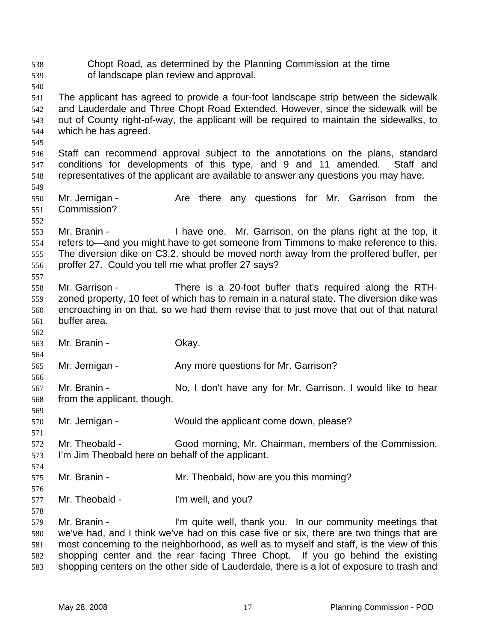Chopt Road, as determined by the Planning Commission at the time of landscape plan review and approval. 538 539 540 541 542 543 544 545 546 547 548 549 550 551 552 553 554 555 556 557 558 559 560 561 562 563 564 565 566 567 568 569 570 571 572 573 574 575 576 577 578 579 580 581 582 583 The applicant has agreed to provide a four-foot landscape strip between the sidewalk and Lauderdale and Three Chopt Road Extended. However, since the sidewalk will be out of County right-of-way, the applicant will be required to maintain the sidewalks, to which he has agreed. Staff can recommend approval subject to the annotations on the plans, standard conditions for developments of this type, and 9 and 11 amended. Staff and representatives of the applicant are available to answer any questions you may have. Mr. Jernigan - The Are there any questions for Mr. Garrison from the Commission? Mr. Branin - Thave one. Mr. Garrison, on the plans right at the top, it refers to—and you might have to get someone from Timmons to make reference to this. The diversion dike on C3.2, should be moved north away from the proffered buffer, per proffer 27. Could you tell me what proffer 27 says? Mr. Garrison - There is a 20-foot buffer that's required along the RTHzoned property, 10 feet of which has to remain in a natural state. The diversion dike was encroaching in on that, so we had them revise that to just move that out of that natural buffer area. Mr. Branin - Ckay. Mr. Jernigan - Any more questions for Mr. Garrison? Mr. Branin - No, I don't have any for Mr. Garrison. I would like to hear from the applicant, though. Mr. Jernigan - Would the applicant come down, please? Mr. Theobald - Good morning, Mr. Chairman, members of the Commission. I'm Jim Theobald here on behalf of the applicant. Mr. Branin - Mr. Theobald, how are you this morning? Mr. Theobald - I'm well, and you? Mr. Branin - I'm quite well, thank you. In our community meetings that we've had, and I think we've had on this case five or six, there are two things that are most concerning to the neighborhood, as well as to myself and staff, is the view of this shopping center and the rear facing Three Chopt. If you go behind the existing shopping centers on the other side of Lauderdale, there is a lot of exposure to trash and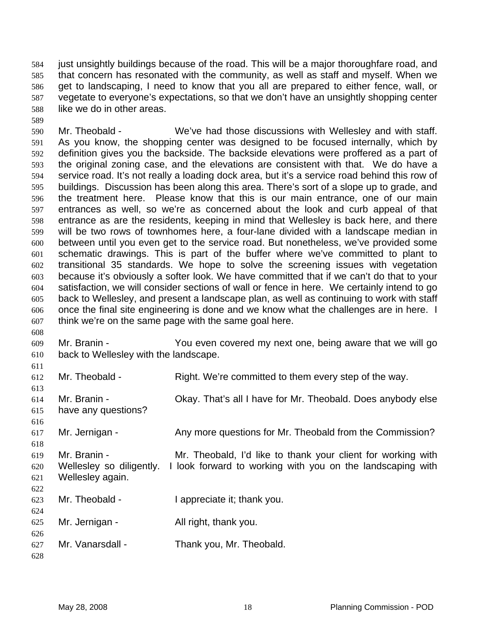just unsightly buildings because of the road. This will be a major thoroughfare road, and that concern has resonated with the community, as well as staff and myself. When we get to landscaping, I need to know that you all are prepared to either fence, wall, or vegetate to everyone's expectations, so that we don't have an unsightly shopping center like we do in other areas. 584 585 586 587 588

590 591 592 593 594 595 596 597 598 599 600 601 602 603 604 605 606 607 Mr. Theobald - We've had those discussions with Wellesley and with staff. As you know, the shopping center was designed to be focused internally, which by definition gives you the backside. The backside elevations were proffered as a part of the original zoning case, and the elevations are consistent with that. We do have a service road. It's not really a loading dock area, but it's a service road behind this row of buildings. Discussion has been along this area. There's sort of a slope up to grade, and the treatment here. Please know that this is our main entrance, one of our main entrances as well, so we're as concerned about the look and curb appeal of that entrance as are the residents, keeping in mind that Wellesley is back here, and there will be two rows of townhomes here, a four-lane divided with a landscape median in between until you even get to the service road. But nonetheless, we've provided some schematic drawings. This is part of the buffer where we've committed to plant to transitional 35 standards. We hope to solve the screening issues with vegetation because it's obviously a softer look. We have committed that if we can't do that to your satisfaction, we will consider sections of wall or fence in here. We certainly intend to go back to Wellesley, and present a landscape plan, as well as continuing to work with staff once the final site engineering is done and we know what the challenges are in here. I think we're on the same page with the same goal here.

609 610 Mr. Branin - You even covered my next one, being aware that we will go back to Wellesley with the landscape.

| 611 |                          |                                                              |
|-----|--------------------------|--------------------------------------------------------------|
| 612 | Mr. Theobald -           | Right. We're committed to them every step of the way.        |
| 613 |                          |                                                              |
| 614 | Mr. Branin -             | Okay. That's all I have for Mr. Theobald. Does anybody else  |
| 615 | have any questions?      |                                                              |
| 616 |                          |                                                              |
| 617 | Mr. Jernigan -           | Any more questions for Mr. Theobald from the Commission?     |
| 618 |                          |                                                              |
| 619 | Mr. Branin -             | Mr. Theobald, I'd like to thank your client for working with |
| 620 | Wellesley so diligently. | I look forward to working with you on the landscaping with   |
| 621 | Wellesley again.         |                                                              |
| 622 |                          |                                                              |
| 623 | Mr. Theobald -           | I appreciate it; thank you.                                  |
| 624 |                          |                                                              |
| 625 | Mr. Jernigan -           | All right, thank you.                                        |
| 626 |                          |                                                              |
| 627 | Mr. Vanarsdall -         | Thank you, Mr. Theobald.                                     |
| 628 |                          |                                                              |

589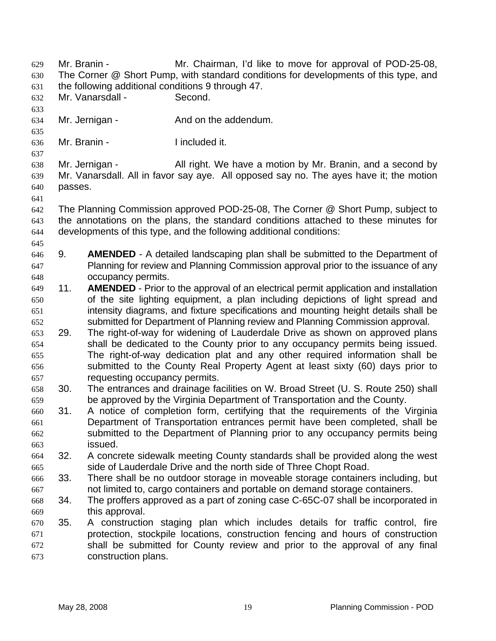Mr. Branin - Mr. Chairman, I'd like to move for approval of POD-25-08, The Corner @ Short Pump, with standard conditions for developments of this type, and the following additional conditions 9 through 47. 629 630 631 632 633 634 635 636 637 638 639 640 641 642 643 644 645 646 647 648 649 650 651 652 653 654 655 656 657 658 659 660 661 662 663 664 665 666 667 668 669 670 671 672 673 Mr. Vanarsdall - Second. Mr. Jernigan - The And on the addendum. Mr. Branin - The Included it. Mr. Jernigan - All right. We have a motion by Mr. Branin, and a second by Mr. Vanarsdall. All in favor say aye. All opposed say no. The ayes have it; the motion passes. The Planning Commission approved POD-25-08, The Corner @ Short Pump, subject to the annotations on the plans, the standard conditions attached to these minutes for developments of this type, and the following additional conditions: 9. **AMENDED** - A detailed landscaping plan shall be submitted to the Department of Planning for review and Planning Commission approval prior to the issuance of any occupancy permits. 11. **AMENDED** - Prior to the approval of an electrical permit application and installation of the site lighting equipment, a plan including depictions of light spread and intensity diagrams, and fixture specifications and mounting height details shall be submitted for Department of Planning review and Planning Commission approval. 29. The right-of-way for widening of Lauderdale Drive as shown on approved plans shall be dedicated to the County prior to any occupancy permits being issued. The right-of-way dedication plat and any other required information shall be submitted to the County Real Property Agent at least sixty (60) days prior to requesting occupancy permits. 30. The entrances and drainage facilities on W. Broad Street (U. S. Route 250) shall be approved by the Virginia Department of Transportation and the County. 31. A notice of completion form, certifying that the requirements of the Virginia Department of Transportation entrances permit have been completed, shall be submitted to the Department of Planning prior to any occupancy permits being issued. 32. A concrete sidewalk meeting County standards shall be provided along the west side of Lauderdale Drive and the north side of Three Chopt Road. 33. There shall be no outdoor storage in moveable storage containers including, but not limited to, cargo containers and portable on demand storage containers. 34. The proffers approved as a part of zoning case C-65C-07 shall be incorporated in this approval. 35. A construction staging plan which includes details for traffic control, fire protection, stockpile locations, construction fencing and hours of construction shall be submitted for County review and prior to the approval of any final construction plans.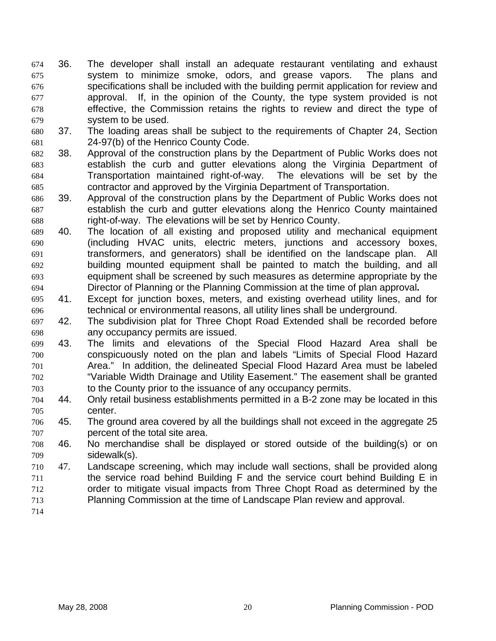- 36. The developer shall install an adequate restaurant ventilating and exhaust system to minimize smoke, odors, and grease vapors. The plans and specifications shall be included with the building permit application for review and approval. If, in the opinion of the County, the type system provided is not effective, the Commission retains the rights to review and direct the type of system to be used. 674 675 676 677 678 679
- 680 681 37. The loading areas shall be subject to the requirements of Chapter 24, Section 24-97(b) of the Henrico County Code.
- 682 683 684 685 38. Approval of the construction plans by the Department of Public Works does not establish the curb and gutter elevations along the Virginia Department of Transportation maintained right-of-way. The elevations will be set by the contractor and approved by the Virginia Department of Transportation.
- 686 687 688 39. Approval of the construction plans by the Department of Public Works does not establish the curb and gutter elevations along the Henrico County maintained right-of-way. The elevations will be set by Henrico County.
- 689 690 691 692 693 694 40. The location of all existing and proposed utility and mechanical equipment (including HVAC units, electric meters, junctions and accessory boxes, transformers, and generators) shall be identified on the landscape plan. All building mounted equipment shall be painted to match the building, and all equipment shall be screened by such measures as determine appropriate by the Director of Planning or the Planning Commission at the time of plan approval**.**
- 695 696 41. Except for junction boxes, meters, and existing overhead utility lines, and for technical or environmental reasons, all utility lines shall be underground.
- 697 698 42. The subdivision plat for Three Chopt Road Extended shall be recorded before any occupancy permits are issued.
- 699 700 701 702 703 43. The limits and elevations of the Special Flood Hazard Area shall be conspicuously noted on the plan and labels "Limits of Special Flood Hazard Area." In addition, the delineated Special Flood Hazard Area must be labeled "Variable Width Drainage and Utility Easement." The easement shall be granted to the County prior to the issuance of any occupancy permits.
- 704 705 44. Only retail business establishments permitted in a B-2 zone may be located in this center.
- 706 707 45. The ground area covered by all the buildings shall not exceed in the aggregate 25 percent of the total site area.
- 708 709 46. No merchandise shall be displayed or stored outside of the building(s) or on sidewalk(s).
- 711 712 713 710 47. Landscape screening, which may include wall sections, shall be provided along the service road behind Building F and the service court behind Building E in order to mitigate visual impacts from Three Chopt Road as determined by the Planning Commission at the time of Landscape Plan review and approval.
- 714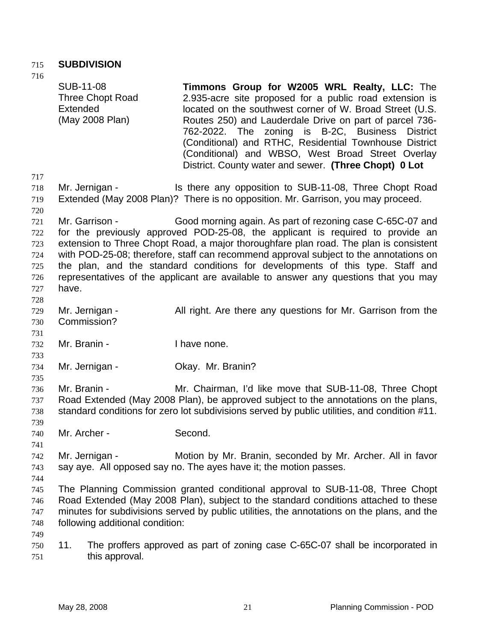### 715 **SUBDIVISION**

716 717 718 719 720 721 722 723 724 725 726 727 728 729 730 731 732 733 734 735 736 737 738 739 740 741 742 743 744 745 746 747 748 749 750 751 SUB-11-08 Three Chopt Road **Extended** (May 2008 Plan) **Timmons Group for W2005 WRL Realty, LLC:** The 2.935-acre site proposed for a public road extension is located on the southwest corner of W. Broad Street (U.S. Routes 250) and Lauderdale Drive on part of parcel 736- 762-2022. The zoning is B-2C, Business District (Conditional) and RTHC, Residential Townhouse District (Conditional) and WBSO, West Broad Street Overlay District. County water and sewer. **(Three Chopt) 0 Lot**  Mr. Jernigan - Is there any opposition to SUB-11-08, Three Chopt Road Extended (May 2008 Plan)? There is no opposition. Mr. Garrison, you may proceed. Mr. Garrison - Good morning again. As part of rezoning case C-65C-07 and for the previously approved POD-25-08, the applicant is required to provide an extension to Three Chopt Road, a major thoroughfare plan road. The plan is consistent with POD-25-08; therefore, staff can recommend approval subject to the annotations on the plan, and the standard conditions for developments of this type. Staff and representatives of the applicant are available to answer any questions that you may have. Mr. Jernigan - All right. Are there any questions for Mr. Garrison from the Commission? Mr. Branin - Thave none. Mr. Jernigan - Ckay. Mr. Branin? Mr. Branin - **Mr. Chairman, I'd like move that SUB-11-08, Three Chopt** Road Extended (May 2008 Plan), be approved subject to the annotations on the plans, standard conditions for zero lot subdivisions served by public utilities, and condition #11. Mr. Archer - Second. Mr. Jernigan - Motion by Mr. Branin, seconded by Mr. Archer. All in favor say aye. All opposed say no. The ayes have it; the motion passes. The Planning Commission granted conditional approval to SUB-11-08, Three Chopt Road Extended (May 2008 Plan), subject to the standard conditions attached to these minutes for subdivisions served by public utilities, the annotations on the plans, and the following additional condition: 11. The proffers approved as part of zoning case C-65C-07 shall be incorporated in this approval.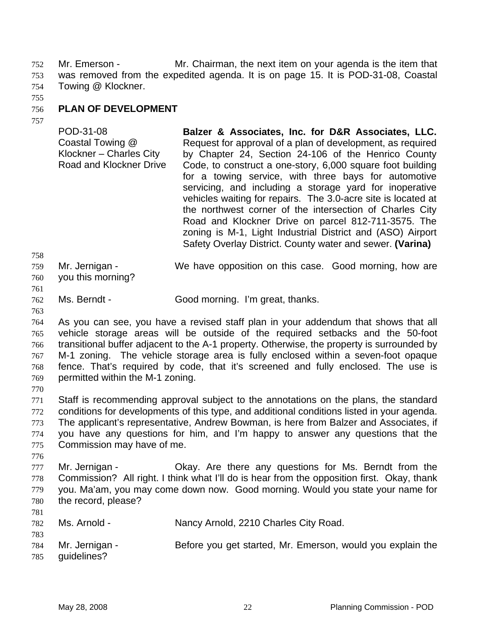Mr. Emerson - Mr. Chairman, the next item on your agenda is the item that was removed from the expedited agenda. It is on page 15. It is POD-31-08, Coastal Towing @ Klockner. 752 753 754

755

#### 756 **PLAN OF DEVELOPMENT**

757

POD-31-08 Coastal Towing @ Klockner – Charles City Road and Klockner Drive **Balzer & Associates, Inc. for D&R Associates, LLC.**  Request for approval of a plan of development, as required by Chapter 24, Section 24-106 of the Henrico County Code, to construct a one-story, 6,000 square foot building for a towing service, with three bays for automotive servicing, and including a storage yard for inoperative vehicles waiting for repairs. The 3.0-acre site is located at the northwest corner of the intersection of Charles City Road and Klockner Drive on parcel 812-711-3575. The zoning is M-1, Light Industrial District and (ASO) Airport Safety Overlay District. County water and sewer. **(Varina)** 

- 758 759 760 Mr. Jernigan - We have opposition on this case. Good morning, how are you this morning?
- 761

763

- 762 Ms. Berndt - Good morning. I'm great, thanks.
- 764 765 766 767 768 769 As you can see, you have a revised staff plan in your addendum that shows that all vehicle storage areas will be outside of the required setbacks and the 50-foot transitional buffer adjacent to the A-1 property. Otherwise, the property is surrounded by M-1 zoning. The vehicle storage area is fully enclosed within a seven-foot opaque fence. That's required by code, that it's screened and fully enclosed. The use is permitted within the M-1 zoning.
- 770

771 772 773 774 775 Staff is recommending approval subject to the annotations on the plans, the standard conditions for developments of this type, and additional conditions listed in your agenda. The applicant's representative, Andrew Bowman, is here from Balzer and Associates, if you have any questions for him, and I'm happy to answer any questions that the Commission may have of me.

- 776 777 778 779 780 Mr. Jernigan - Ckay. Are there any questions for Ms. Berndt from the Commission? All right. I think what I'll do is hear from the opposition first. Okay, thank you. Ma'am, you may come down now. Good morning. Would you state your name for the record, please?
- 781

| 782 | Ms. Arnold -   | Nancy Arnold, 2210 Charles City Road.                      |
|-----|----------------|------------------------------------------------------------|
| 783 |                |                                                            |
| 784 | Mr. Jernigan - | Before you get started, Mr. Emerson, would you explain the |
| 785 | quidelines?    |                                                            |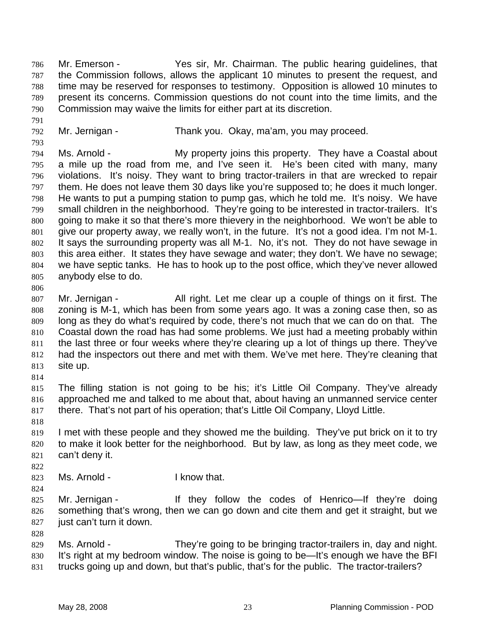Mr. Emerson - Yes sir, Mr. Chairman. The public hearing guidelines, that the Commission follows, allows the applicant 10 minutes to present the request, and time may be reserved for responses to testimony. Opposition is allowed 10 minutes to present its concerns. Commission questions do not count into the time limits, and the Commission may waive the limits for either part at its discretion. 786 787 788 789 790

792 Mr. Jernigan - Thank you. Okay, ma'am, you may proceed.

794 795 796 797 798 799 800 801 802 803 804 805 Ms. Arnold - The My property joins this property. They have a Coastal about a mile up the road from me, and I've seen it. He's been cited with many, many violations. It's noisy. They want to bring tractor-trailers in that are wrecked to repair them. He does not leave them 30 days like you're supposed to; he does it much longer. He wants to put a pumping station to pump gas, which he told me. It's noisy. We have small children in the neighborhood. They're going to be interested in tractor-trailers. It's going to make it so that there's more thievery in the neighborhood. We won't be able to give our property away, we really won't, in the future. It's not a good idea. I'm not M-1. It says the surrounding property was all M-1. No, it's not. They do not have sewage in this area either. It states they have sewage and water; they don't. We have no sewage; we have septic tanks. He has to hook up to the post office, which they've never allowed anybody else to do.

806

791

793

807 808 809 810 811 812 813 Mr. Jernigan - All right. Let me clear up a couple of things on it first. The zoning is M-1, which has been from some years ago. It was a zoning case then, so as long as they do what's required by code, there's not much that we can do on that. The Coastal down the road has had some problems. We just had a meeting probably within the last three or four weeks where they're clearing up a lot of things up there. They've had the inspectors out there and met with them. We've met here. They're cleaning that site up.

814

815 816 817 The filling station is not going to be his; it's Little Oil Company. They've already approached me and talked to me about that, about having an unmanned service center there. That's not part of his operation; that's Little Oil Company, Lloyd Little.

818

819 820 821 I met with these people and they showed me the building. They've put brick on it to try to make it look better for the neighborhood. But by law, as long as they meet code, we can't deny it.

- 823 Ms. Arnold - The Research Human I know that.
- 824

828

822

- 
- 825 826 827 Mr. Jernigan - They follow the codes of Henrico—If they're doing something that's wrong, then we can go down and cite them and get it straight, but we just can't turn it down.

829 830 831 Ms. Arnold - They're going to be bringing tractor-trailers in, day and night. It's right at my bedroom window. The noise is going to be—It's enough we have the BFI trucks going up and down, but that's public, that's for the public. The tractor-trailers?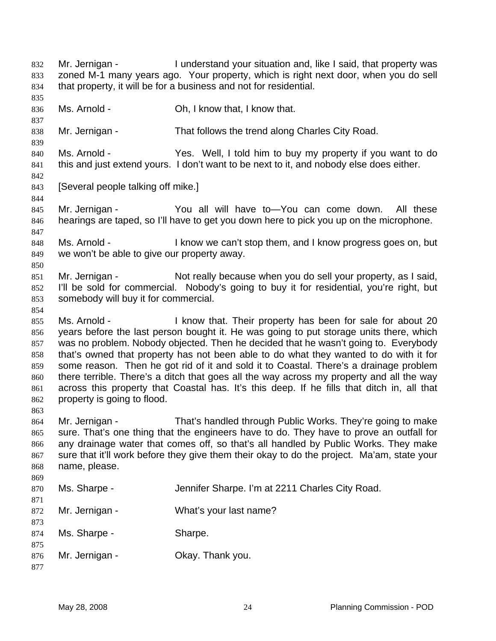Mr. Jernigan - I understand your situation and, like I said, that property was zoned M-1 many years ago. Your property, which is right next door, when you do sell that property, it will be for a business and not for residential. 832 833 834 835 836 837 838 839 840 841 842 843 844 845 846 847 848 849 850 851 852 853 854 855 856 857 858 859 860 861 862 863 864 865 866 867 868 869 870 871 872 873 874 875 876 877 Ms. Arnold - Ch, I know that, I know that. Mr. Jernigan - That follows the trend along Charles City Road. Ms. Arnold - Yes. Well, I told him to buy my property if you want to do this and just extend yours. I don't want to be next to it, and nobody else does either. [Several people talking off mike.] Mr. Jernigan - The You all will have to—You can come down. All these hearings are taped, so I'll have to get you down here to pick you up on the microphone. Ms. Arnold - The I know we can't stop them, and I know progress goes on, but we won't be able to give our property away. Mr. Jernigan - Not really because when you do sell your property, as I said, I'll be sold for commercial. Nobody's going to buy it for residential, you're right, but somebody will buy it for commercial. Ms. Arnold - I know that. Their property has been for sale for about 20 years before the last person bought it. He was going to put storage units there, which was no problem. Nobody objected. Then he decided that he wasn't going to. Everybody that's owned that property has not been able to do what they wanted to do with it for some reason. Then he got rid of it and sold it to Coastal. There's a drainage problem there terrible. There's a ditch that goes all the way across my property and all the way across this property that Coastal has. It's this deep. If he fills that ditch in, all that property is going to flood. Mr. Jernigan - That's handled through Public Works. They're going to make sure. That's one thing that the engineers have to do. They have to prove an outfall for any drainage water that comes off, so that's all handled by Public Works. They make sure that it'll work before they give them their okay to do the project. Ma'am, state your name, please. Ms. Sharpe - The Sharpe. I'm at 2211 Charles City Road. Mr. Jernigan - What's your last name? Ms. Sharpe - Sharpe. Mr. Jernigan - Ckay. Thank you.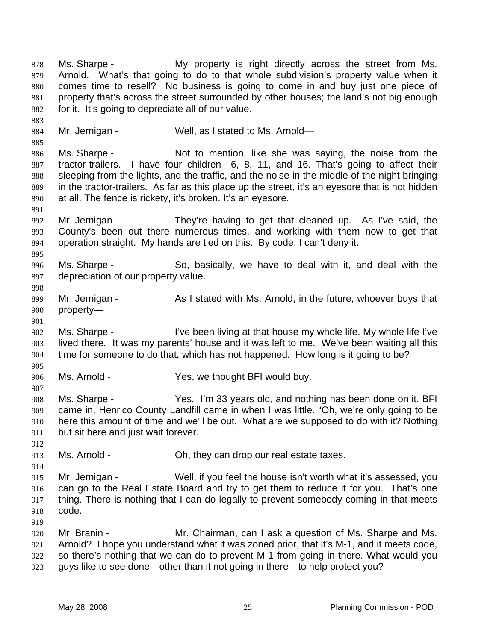Ms. Sharpe - The My property is right directly across the street from Ms. Arnold. What's that going to do to that whole subdivision's property value when it comes time to resell? No business is going to come in and buy just one piece of property that's across the street surrounded by other houses; the land's not big enough for it. It's going to depreciate all of our value. 878 879 880 881 882 883 884 885 886 887 888 889 890 891 892 893 894 895 896 897 898 899 900 901 902 903 904 905 906 907 908 909 910 911 912 913 914 915 916 917 918 919 920 921 922 923 Mr. Jernigan - Well, as I stated to Ms. Arnold— Ms. Sharpe - Not to mention, like she was saying, the noise from the tractor-trailers. I have four children—6, 8, 11, and 16. That's going to affect their sleeping from the lights, and the traffic, and the noise in the middle of the night bringing in the tractor-trailers. As far as this place up the street, it's an eyesore that is not hidden at all. The fence is rickety, it's broken. It's an eyesore. Mr. Jernigan - They're having to get that cleaned up. As I've said, the County's been out there numerous times, and working with them now to get that operation straight. My hands are tied on this. By code, I can't deny it. Ms. Sharpe - So, basically, we have to deal with it, and deal with the depreciation of our property value. Mr. Jernigan - As I stated with Ms. Arnold, in the future, whoever buys that property— Ms. Sharpe - I've been living at that house my whole life. My whole life I've lived there. It was my parents' house and it was left to me. We've been waiting all this time for someone to do that, which has not happened. How long is it going to be? Ms. Arnold - The Yes, we thought BFI would buy. Ms. Sharpe - Yes. I'm 33 years old, and nothing has been done on it. BFI came in, Henrico County Landfill came in when I was little. "Oh, we're only going to be here this amount of time and we'll be out. What are we supposed to do with it? Nothing but sit here and just wait forever. Ms. Arnold - Ch, they can drop our real estate taxes. Mr. Jernigan - Well, if you feel the house isn't worth what it's assessed, you can go to the Real Estate Board and try to get them to reduce it for you. That's one thing. There is nothing that I can do legally to prevent somebody coming in that meets code. Mr. Branin - Mr. Chairman, can I ask a question of Ms. Sharpe and Ms. Arnold? I hope you understand what it was zoned prior, that it's M-1, and it meets code, so there's nothing that we can do to prevent M-1 from going in there. What would you guys like to see done—other than it not going in there—to help protect you?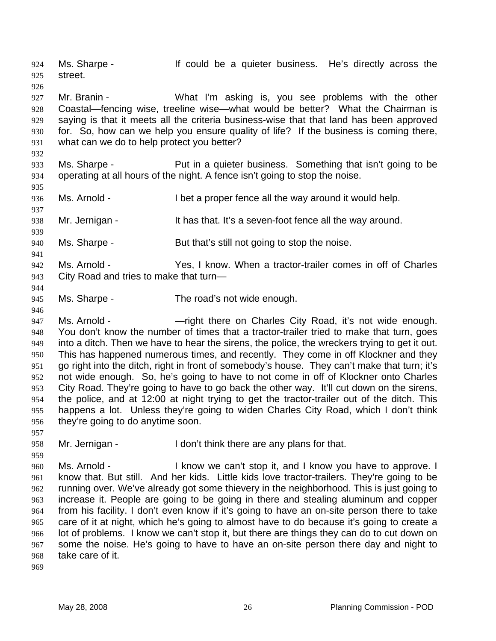Ms. Sharpe - The State of the a quieter business. He's directly across the street. 924 925 926 927 928 929 930 931 932 933 934 935 936 937 938 939 940 941 942 943 944 945 946 947 948 949 950 951 952 953 954 955 956 957 958 959 960 961 962 963 964 Mr. Branin - The Mustim asking is, you see problems with the other Coastal—fencing wise, treeline wise—what would be better? What the Chairman is saying is that it meets all the criteria business-wise that that land has been approved for. So, how can we help you ensure quality of life? If the business is coming there, what can we do to help protect you better? Ms. Sharpe - Put in a quieter business. Something that isn't going to be operating at all hours of the night. A fence isn't going to stop the noise. Ms. Arnold - I bet a proper fence all the way around it would help. Mr. Jernigan - The Mustings that. It's a seven-foot fence all the way around. Ms. Sharpe - But that's still not going to stop the noise. Ms. Arnold - Yes, I know. When a tractor-trailer comes in off of Charles City Road and tries to make that turn— Ms. Sharpe - The road's not wide enough. Ms. Arnold - —right there on Charles City Road, it's not wide enough. You don't know the number of times that a tractor-trailer tried to make that turn, goes into a ditch. Then we have to hear the sirens, the police, the wreckers trying to get it out. This has happened numerous times, and recently. They come in off Klockner and they go right into the ditch, right in front of somebody's house. They can't make that turn; it's not wide enough. So, he's going to have to not come in off of Klockner onto Charles City Road. They're going to have to go back the other way. It'll cut down on the sirens, the police, and at 12:00 at night trying to get the tractor-trailer out of the ditch. This happens a lot. Unless they're going to widen Charles City Road, which I don't think they're going to do anytime soon. Mr. Jernigan - I don't think there are any plans for that. Ms. Arnold - I know we can't stop it, and I know you have to approve. I know that. But still. And her kids. Little kids love tractor-trailers. They're going to be running over. We've already got some thievery in the neighborhood. This is just going to increase it. People are going to be going in there and stealing aluminum and copper from his facility. I don't even know if it's going to have an on-site person there to take

965 966 967 968 care of it at night, which he's going to almost have to do because it's going to create a lot of problems. I know we can't stop it, but there are things they can do to cut down on some the noise. He's going to have to have an on-site person there day and night to take care of it.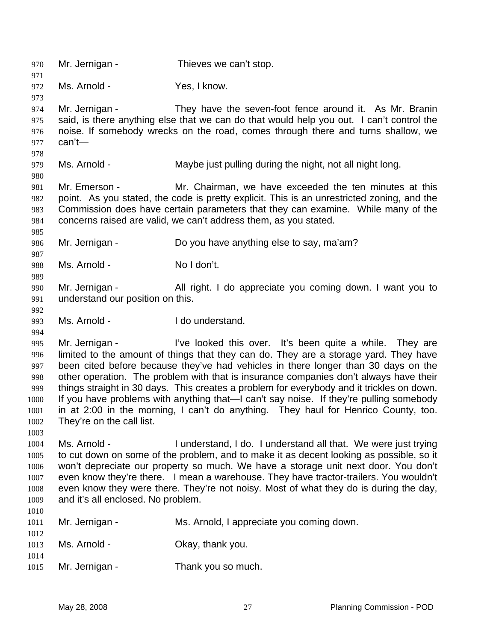970 Mr. Jernigan - Thieves we can't stop. 971 972 973 974 975 976 977 978 979 980 981 982 983 984 985 986 987 988 989 990 991 992 993 994 995 996 997 998 999 1000 1001 1002 1003 1004 1005 1006 1007 1008 1009 1010 1011 1012 1013 1014 1015 Ms. Arnold - Yes, I know. Mr. Jernigan - They have the seven-foot fence around it. As Mr. Branin said, is there anything else that we can do that would help you out. I can't control the noise. If somebody wrecks on the road, comes through there and turns shallow, we can't— Ms. Arnold - Maybe just pulling during the night, not all night long. Mr. Emerson - Mr. Chairman, we have exceeded the ten minutes at this point. As you stated, the code is pretty explicit. This is an unrestricted zoning, and the Commission does have certain parameters that they can examine. While many of the concerns raised are valid, we can't address them, as you stated. Mr. Jernigan - Do you have anything else to say, ma'am? Ms. Arnold - No I don't. Mr. Jernigan - All right. I do appreciate you coming down. I want you to understand our position on this. Ms. Arnold - I do understand. Mr. Jernigan - I've looked this over. It's been quite a while. They are limited to the amount of things that they can do. They are a storage yard. They have been cited before because they've had vehicles in there longer than 30 days on the other operation. The problem with that is insurance companies don't always have their things straight in 30 days. This creates a problem for everybody and it trickles on down. If you have problems with anything that—I can't say noise. If they're pulling somebody in at 2:00 in the morning, I can't do anything. They haul for Henrico County, too. They're on the call list. Ms. Arnold - I understand, I do. I understand all that. We were just trying to cut down on some of the problem, and to make it as decent looking as possible, so it won't depreciate our property so much. We have a storage unit next door. You don't even know they're there. I mean a warehouse. They have tractor-trailers. You wouldn't even know they were there. They're not noisy. Most of what they do is during the day, and it's all enclosed. No problem. Mr. Jernigan - Ms. Arnold, I appreciate you coming down. Ms. Arnold - Chay, thank you. Mr. Jernigan - Thank you so much.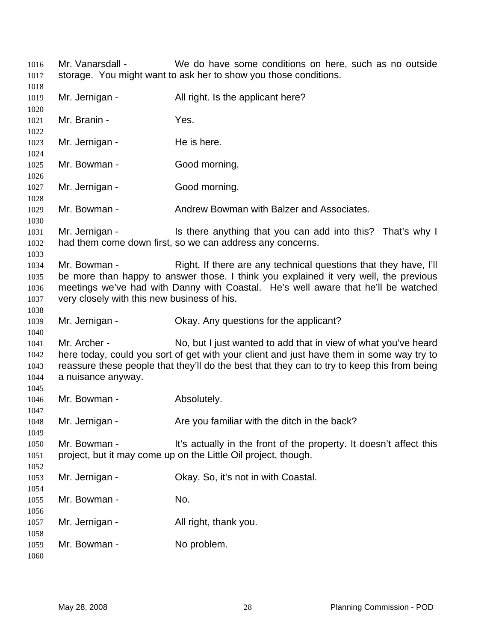| 1016<br>1017                         | Mr. Vanarsdall -                                            | We do have some conditions on here, such as no outside<br>storage. You might want to ask her to show you those conditions.                                                                                                                                |
|--------------------------------------|-------------------------------------------------------------|-----------------------------------------------------------------------------------------------------------------------------------------------------------------------------------------------------------------------------------------------------------|
| 1018<br>1019<br>1020                 | Mr. Jernigan -                                              | All right. Is the applicant here?                                                                                                                                                                                                                         |
| 1021<br>1022                         | Mr. Branin -                                                | Yes.                                                                                                                                                                                                                                                      |
| 1023<br>1024                         | Mr. Jernigan -                                              | He is here.                                                                                                                                                                                                                                               |
| 1025<br>1026                         | Mr. Bowman -                                                | Good morning.                                                                                                                                                                                                                                             |
| 1027<br>1028                         | Mr. Jernigan -                                              | Good morning.                                                                                                                                                                                                                                             |
| 1029<br>1030                         | Mr. Bowman -                                                | Andrew Bowman with Balzer and Associates.                                                                                                                                                                                                                 |
| 1031<br>1032<br>1033                 | Mr. Jernigan -                                              | Is there anything that you can add into this? That's why I<br>had them come down first, so we can address any concerns.                                                                                                                                   |
| 1034<br>1035<br>1036<br>1037<br>1038 | Mr. Bowman -<br>very closely with this new business of his. | Right. If there are any technical questions that they have, I'll<br>be more than happy to answer those. I think you explained it very well, the previous<br>meetings we've had with Danny with Coastal. He's well aware that he'll be watched             |
| 1039<br>1040                         | Mr. Jernigan -                                              | Okay. Any questions for the applicant?                                                                                                                                                                                                                    |
| 1041<br>1042<br>1043<br>1044<br>1045 | Mr. Archer -<br>a nuisance anyway.                          | No, but I just wanted to add that in view of what you've heard<br>here today, could you sort of get with your client and just have them in some way try to<br>reassure these people that they'll do the best that they can to try to keep this from being |
| 1046<br>1047                         | Mr. Bowman -                                                | Absolutely.                                                                                                                                                                                                                                               |
| 1048<br>1049                         | Mr. Jernigan -                                              | Are you familiar with the ditch in the back?                                                                                                                                                                                                              |
| 1050<br>1051<br>1052                 | Mr. Bowman -                                                | It's actually in the front of the property. It doesn't affect this<br>project, but it may come up on the Little Oil project, though.                                                                                                                      |
| 1053<br>1054                         | Mr. Jernigan -                                              | Okay. So, it's not in with Coastal.                                                                                                                                                                                                                       |
| 1055<br>1056                         | Mr. Bowman -                                                | No.                                                                                                                                                                                                                                                       |
| 1057<br>1058                         | Mr. Jernigan -                                              | All right, thank you.                                                                                                                                                                                                                                     |
| 1059<br>1060                         | Mr. Bowman -                                                | No problem.                                                                                                                                                                                                                                               |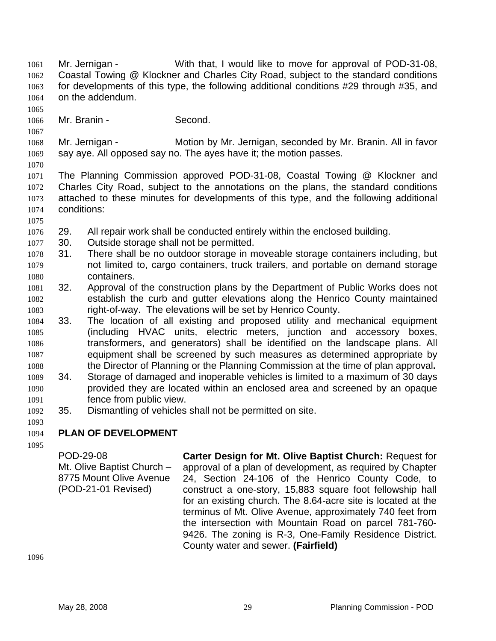Mr. Jernigan - With that, I would like to move for approval of POD-31-08, Coastal Towing @ Klockner and Charles City Road, subject to the standard conditions for developments of this type, the following additional conditions #29 through #35, and on the addendum. 1061 1062 1063 1064

1065 1066

1067

Mr. Branin - Second.

1068 1069 Mr. Jernigan - **Motion by Mr. Jernigan, seconded by Mr. Branin. All in favor** say aye. All opposed say no. The ayes have it; the motion passes.

1070

1071 1072 1073 1074 The Planning Commission approved POD-31-08, Coastal Towing @ Klockner and Charles City Road, subject to the annotations on the plans, the standard conditions attached to these minutes for developments of this type, and the following additional conditions:

- 1075
- 1076 29. All repair work shall be conducted entirely within the enclosed building.
- 1077 30. Outside storage shall not be permitted.
- 1078 1079 1080 31. There shall be no outdoor storage in moveable storage containers including, but not limited to, cargo containers, truck trailers, and portable on demand storage containers.
- 1081 1082 1083 32. Approval of the construction plans by the Department of Public Works does not establish the curb and gutter elevations along the Henrico County maintained right-of-way. The elevations will be set by Henrico County.
- 1084 1085 1086 1087 1088 33. The location of all existing and proposed utility and mechanical equipment (including HVAC units, electric meters, junction and accessory boxes, transformers, and generators) shall be identified on the landscape plans. All equipment shall be screened by such measures as determined appropriate by the Director of Planning or the Planning Commission at the time of plan approval**.**
- 1089 1090 1091 34. Storage of damaged and inoperable vehicles is limited to a maximum of 30 days provided they are located within an enclosed area and screened by an opaque fence from public view.
- 1092 35. Dismantling of vehicles shall not be permitted on site.
- 1093

1094 **PLAN OF DEVELOPMENT** 

1095

POD-29-08 Mt. Olive Baptist Church – 8775 Mount Olive Avenue (POD-21-01 Revised) **Carter Design for Mt. Olive Baptist Church:** Request for approval of a plan of development, as required by Chapter 24, Section 24-106 of the Henrico County Code, to construct a one-story, 15,883 square foot fellowship hall for an existing church. The 8.64-acre site is located at the terminus of Mt. Olive Avenue, approximately 740 feet from the intersection with Mountain Road on parcel 781-760- 9426. The zoning is R-3, One-Family Residence District. County water and sewer. **(Fairfield)**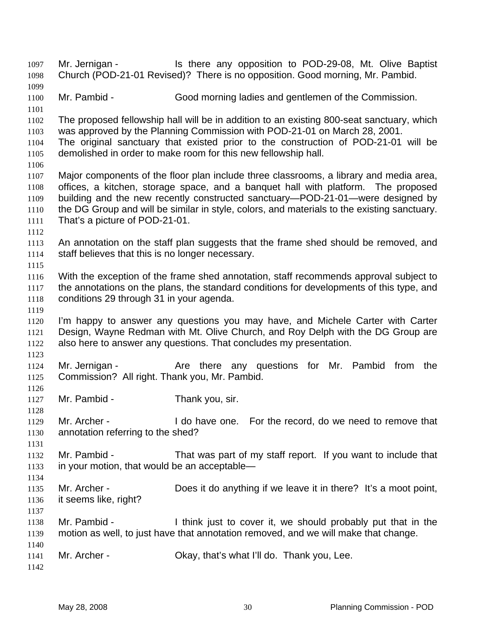Mr. Jernigan - Is there any opposition to POD-29-08, Mt. Olive Baptist Church (POD-21-01 Revised)? There is no opposition. Good morning, Mr. Pambid. 1097 1098 1099 1100 1101 1102 1103 1104 1105 1106 1107 1108 1109 1110 1111 1112 1113 1114 1115 1116 1117 1118 1119 1120 1121 1122 1123 1124 1125 1126 1127 1128 1129 1130 1131 1132 1133 1134 1135 1136 1137 1138 1139 1140 1141 1142 Mr. Pambid - Good morning ladies and gentlemen of the Commission. The proposed fellowship hall will be in addition to an existing 800-seat sanctuary, which was approved by the Planning Commission with POD-21-01 on March 28, 2001. The original sanctuary that existed prior to the construction of POD-21-01 will be demolished in order to make room for this new fellowship hall. Major components of the floor plan include three classrooms, a library and media area, offices, a kitchen, storage space, and a banquet hall with platform. The proposed building and the new recently constructed sanctuary—POD-21-01—were designed by the DG Group and will be similar in style, colors, and materials to the existing sanctuary. That's a picture of POD-21-01. An annotation on the staff plan suggests that the frame shed should be removed, and staff believes that this is no longer necessary. With the exception of the frame shed annotation, staff recommends approval subject to the annotations on the plans, the standard conditions for developments of this type, and conditions 29 through 31 in your agenda. I'm happy to answer any questions you may have, and Michele Carter with Carter Design, Wayne Redman with Mt. Olive Church, and Roy Delph with the DG Group are also here to answer any questions. That concludes my presentation. Mr. Jernigan - The Are there any questions for Mr. Pambid from the Commission? All right. Thank you, Mr. Pambid. Mr. Pambid - Thank you, sir. Mr. Archer - I do have one. For the record, do we need to remove that annotation referring to the shed? Mr. Pambid - That was part of my staff report. If you want to include that in your motion, that would be an acceptable— Mr. Archer - Does it do anything if we leave it in there? It's a moot point, it seems like, right? Mr. Pambid - I think just to cover it, we should probably put that in the motion as well, to just have that annotation removed, and we will make that change. Mr. Archer - Ckay, that's what I'll do. Thank you, Lee.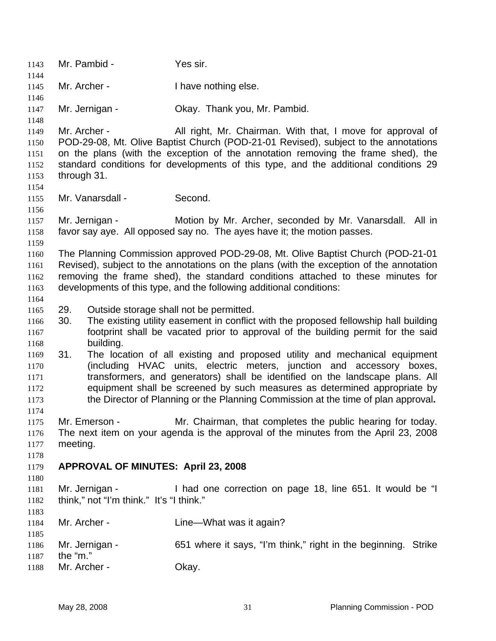1143 Mr. Pambid - Yes sir. 1144 1145 1146 1147 1148 1149 1150 1151 1152 1153 1154 1155 1156 1157 1158 1159 1160 1161 1162 1163 1164 1166 1167 1168 1169 1170 1171 1172 1173 1174 1175 1176 1177 1178 1179 1180 1181 1182 1183 1184 1185 1186 1187 1188 Mr. Archer - Thave nothing else. Mr. Jernigan - **Okay. Thank you, Mr. Pambid.** Mr. Archer - All right, Mr. Chairman. With that, I move for approval of POD-29-08, Mt. Olive Baptist Church (POD-21-01 Revised), subject to the annotations on the plans (with the exception of the annotation removing the frame shed), the standard conditions for developments of this type, and the additional conditions 29 through 31. Mr. Vanarsdall - Second. Mr. Jernigan - Motion by Mr. Archer, seconded by Mr. Vanarsdall. All in favor say aye. All opposed say no. The ayes have it; the motion passes. The Planning Commission approved POD-29-08, Mt. Olive Baptist Church (POD-21-01 Revised), subject to the annotations on the plans (with the exception of the annotation removing the frame shed), the standard conditions attached to these minutes for developments of this type, and the following additional conditions: 1165 29. Outside storage shall not be permitted. 30. The existing utility easement in conflict with the proposed fellowship hall building footprint shall be vacated prior to approval of the building permit for the said building. 31. The location of all existing and proposed utility and mechanical equipment (including HVAC units, electric meters, junction and accessory boxes, transformers, and generators) shall be identified on the landscape plans. All equipment shall be screened by such measures as determined appropriate by the Director of Planning or the Planning Commission at the time of plan approval**.** Mr. Emerson - Mr. Chairman, that completes the public hearing for today. The next item on your agenda is the approval of the minutes from the April 23, 2008 meeting. **APPROVAL OF MINUTES: April 23, 2008**  Mr. Jernigan - I had one correction on page 18, line 651. It would be "I think," not "I'm think." It's "I think." Mr. Archer - Line—What was it again? Mr. Jernigan - 651 where it says, "I'm think," right in the beginning. Strike the "m." Mr. Archer - Okay.